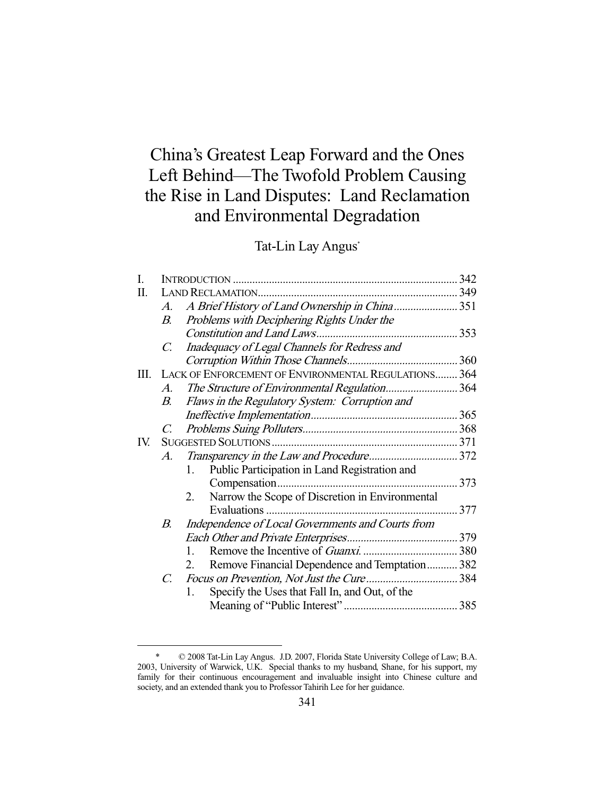# China's Greatest Leap Forward and the Ones Left Behind—The Twofold Problem Causing the Rise in Land Disputes: Land Reclamation and Environmental Degradation

Tat-Lin Lay Angus\*

| $\mathcal{A}$ .       | A Brief History of Land Ownership in China 351                |                                                                     |
|-----------------------|---------------------------------------------------------------|---------------------------------------------------------------------|
| $B_{\cdot}$           | Problems with Deciphering Rights Under the                    |                                                                     |
|                       |                                                               |                                                                     |
| $\mathcal{C}$ .       | Inadequacy of Legal Channels for Redress and                  |                                                                     |
|                       |                                                               |                                                                     |
| Ш.                    |                                                               |                                                                     |
| $\mathcal{A}_{\cdot}$ | The Structure of Environmental Regulation364                  |                                                                     |
| $B_{\cdot}$           | Flaws in the Regulatory System: Corruption and                |                                                                     |
|                       |                                                               |                                                                     |
| $\mathcal{C}$         |                                                               |                                                                     |
|                       |                                                               |                                                                     |
|                       |                                                               |                                                                     |
|                       | Public Participation in Land Registration and<br>$\mathbf{1}$ |                                                                     |
|                       |                                                               |                                                                     |
|                       | 2.<br>Narrow the Scope of Discretion in Environmental         |                                                                     |
|                       |                                                               |                                                                     |
| В.                    | Independence of Local Governments and Courts from             |                                                                     |
|                       |                                                               |                                                                     |
|                       | $\mathbf{1}$                                                  |                                                                     |
|                       | Remove Financial Dependence and Temptation 382<br>2.          |                                                                     |
| C.                    |                                                               |                                                                     |
|                       | Specify the Uses that Fall In, and Out, of the<br>1.          |                                                                     |
|                       |                                                               |                                                                     |
|                       |                                                               | LACK OF ENFORCEMENT OF ENVIRONMENTAL REGULATIONS 364<br>$A_{\cdot}$ |

 <sup>\* © 2008</sup> Tat-Lin Lay Angus. J.D. 2007, Florida State University College of Law; B.A. 2003, University of Warwick, U.K. Special thanks to my husband, Shane, for his support, my family for their continuous encouragement and invaluable insight into Chinese culture and society, and an extended thank you to Professor Tahirih Lee for her guidance.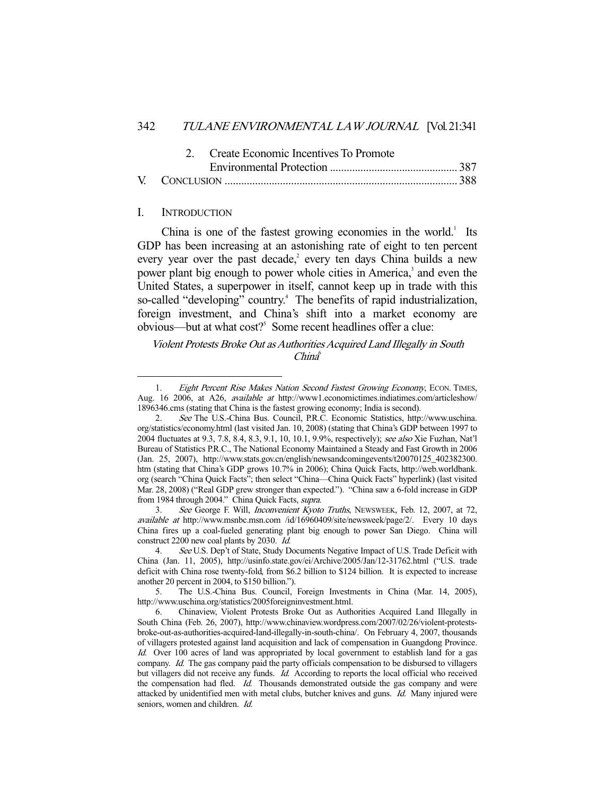|  | 2. Create Economic Incentives To Promote |  |
|--|------------------------------------------|--|
|  |                                          |  |
|  |                                          |  |

#### I. INTRODUCTION

-

China is one of the fastest growing economies in the world. $<sup>1</sup>$  Its</sup> GDP has been increasing at an astonishing rate of eight to ten percent every year over the past decade,<sup>2</sup> every ten days China builds a new power plant big enough to power whole cities in America,<sup>3</sup> and even the United States, a superpower in itself, cannot keep up in trade with this so-called "developing" country.<sup>4</sup> The benefits of rapid industrialization, foreign investment, and China's shift into a market economy are obvious—but at what cost?<sup>5</sup> Some recent headlines offer a clue:

Violent Protests Broke Out as Authorities Acquired Land Illegally in South  $China^6$ 

<sup>1.</sup> Eight Percent Rise Makes Nation Second Fastest Growing Economy, ECON. TIMES, Aug. 16 2006, at A26, available at http://www1.economictimes.indiatimes.com/articleshow/ 1896346.cms (stating that China is the fastest growing economy; India is second).

 <sup>2.</sup> See The U.S.-China Bus. Council, P.R.C. Economic Statistics, http://www.uschina. org/statistics/economy.html (last visited Jan. 10, 2008) (stating that China's GDP between 1997 to 2004 fluctuates at 9.3, 7.8, 8.4, 8.3, 9.1, 10, 10.1, 9.9%, respectively); see also Xie Fuzhan, Nat'l Bureau of Statistics P.R.C., The National Economy Maintained a Steady and Fast Growth in 2006 (Jan. 25, 2007), http://www.stats.gov.cn/english/newsandcomingevents/t20070125\_402382300. htm (stating that China's GDP grows 10.7% in 2006); China Quick Facts, http://web.worldbank. org (search "China Quick Facts"; then select "China—China Quick Facts" hyperlink) (last visited Mar. 28, 2008) ("Real GDP grew stronger than expected."). "China saw a 6-fold increase in GDP from 1984 through 2004." China Quick Facts, supra.

 <sup>3.</sup> See George F. Will, Inconvenient Kyoto Truths, NEWSWEEK, Feb. 12, 2007, at 72, available at http://www.msnbc.msn.com /id/16960409/site/newsweek/page/2/. Every 10 days China fires up a coal-fueled generating plant big enough to power San Diego. China will construct 2200 new coal plants by 2030. Id.

<sup>4.</sup> See U.S. Dep't of State, Study Documents Negative Impact of U.S. Trade Deficit with China (Jan. 11, 2005), http://usinfo.state.gov/ei/Archive/2005/Jan/12-31762.html ("U.S. trade deficit with China rose twenty-fold, from \$6.2 billion to \$124 billion. It is expected to increase another 20 percent in 2004, to \$150 billion.").

 <sup>5.</sup> The U.S.-China Bus. Council, Foreign Investments in China (Mar. 14, 2005), http://www.uschina.org/statistics/2005foreigninvestment.html.

 <sup>6.</sup> Chinaview, Violent Protests Broke Out as Authorities Acquired Land Illegally in South China (Feb. 26, 2007), http://www.chinaview.wordpress.com/2007/02/26/violent-protestsbroke-out-as-authorities-acquired-land-illegally-in-south-china/. On February 4, 2007, thousands of villagers protested against land acquisition and lack of compensation in Guangdong Province. Id. Over 100 acres of land was appropriated by local government to establish land for a gas company. Id. The gas company paid the party officials compensation to be disbursed to villagers but villagers did not receive any funds. Id. According to reports the local official who received the compensation had fled. *Id.* Thousands demonstrated outside the gas company and were attacked by unidentified men with metal clubs, butcher knives and guns. Id. Many injured were seniors, women and children. *Id.*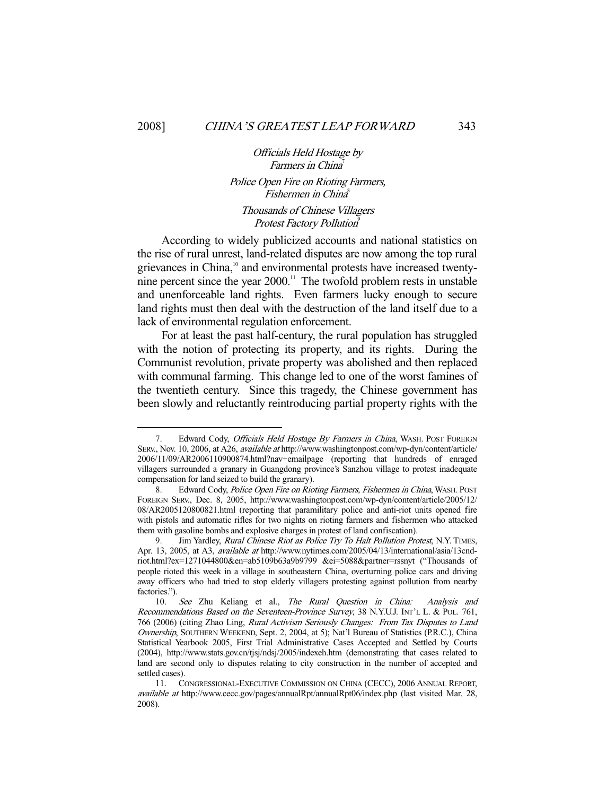-

#### Officials Held Hostage by Farmers in China<sup>7</sup>

## Police Open Fire on Rioting Farmers, Fishermen in China<sup>8</sup>

## Thousands of Chinese Villagers Protest Factory Pollution<sup>9</sup>

 According to widely publicized accounts and national statistics on the rise of rural unrest, land-related disputes are now among the top rural grievances in China,<sup>10</sup> and environmental protests have increased twentynine percent since the year 2000.<sup>11</sup> The twofold problem rests in unstable and unenforceable land rights. Even farmers lucky enough to secure land rights must then deal with the destruction of the land itself due to a lack of environmental regulation enforcement.

 For at least the past half-century, the rural population has struggled with the notion of protecting its property, and its rights. During the Communist revolution, private property was abolished and then replaced with communal farming. This change led to one of the worst famines of the twentieth century. Since this tragedy, the Chinese government has been slowly and reluctantly reintroducing partial property rights with the

<sup>7.</sup> Edward Cody, Officials Held Hostage By Farmers in China, WASH. POST FOREIGN SERV., Nov. 10, 2006, at A26, available at http://www.washingtonpost.com/wp-dyn/content/article/ 2006/11/09/AR2006110900874.html?nav+emailpage (reporting that hundreds of enraged villagers surrounded a granary in Guangdong province's Sanzhou village to protest inadequate compensation for land seized to build the granary).

<sup>8.</sup> Edward Cody, Police Open Fire on Rioting Farmers, Fishermen in China, WASH. POST FOREIGN SERV., Dec. 8, 2005, http://www.washingtonpost.com/wp-dyn/content/article/2005/12/ 08/AR2005120800821.html (reporting that paramilitary police and anti-riot units opened fire with pistols and automatic rifles for two nights on rioting farmers and fishermen who attacked them with gasoline bombs and explosive charges in protest of land confiscation).

<sup>9.</sup> Jim Yardley, Rural Chinese Riot as Police Try To Halt Pollution Protest, N.Y. TIMES, Apr. 13, 2005, at A3, available at http://www.nytimes.com/2005/04/13/international/asia/13cndriot.html?ex=1271044800&en=ab5109b63a9b9799 &ei=5088&partner=rssnyt ("Thousands of people rioted this week in a village in southeastern China, overturning police cars and driving away officers who had tried to stop elderly villagers protesting against pollution from nearby factories.").

 <sup>10.</sup> See Zhu Keliang et al., The Rural Question in China: Analysis and Recommendations Based on the Seventeen-Province Survey, 38 N.Y.U.J. INT'L L. & POL. 761, 766 (2006) (citing Zhao Ling, Rural Activism Seriously Changes: From Tax Disputes to Land Ownership, SOUTHERN WEEKEND, Sept. 2, 2004, at 5); Nat'l Bureau of Statistics (P.R.C.), China Statistical Yearbook 2005, First Trial Administrative Cases Accepted and Settled by Courts (2004), http://www.stats.gov.cn/tjsj/ndsj/2005/indexeh.htm (demonstrating that cases related to land are second only to disputes relating to city construction in the number of accepted and settled cases).

 <sup>11.</sup> CONGRESSIONAL-EXECUTIVE COMMISSION ON CHINA (CECC), 2006 ANNUAL REPORT, available at http://www.cecc.gov/pages/annualRpt/annualRpt06/index.php (last visited Mar. 28, 2008).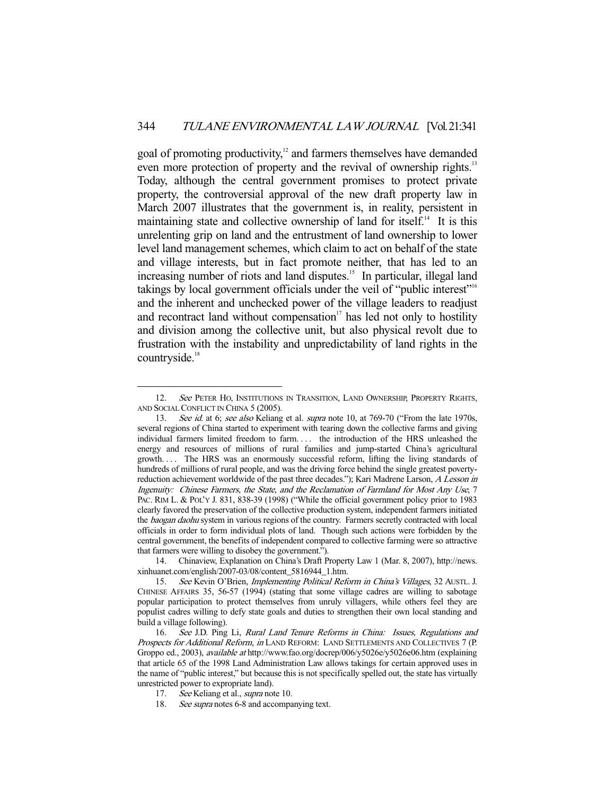goal of promoting productivity,<sup>12</sup> and farmers themselves have demanded even more protection of property and the revival of ownership rights.<sup>13</sup> Today, although the central government promises to protect private property, the controversial approval of the new draft property law in March 2007 illustrates that the government is, in reality, persistent in maintaining state and collective ownership of land for itself.<sup>14</sup> It is this unrelenting grip on land and the entrustment of land ownership to lower level land management schemes, which claim to act on behalf of the state and village interests, but in fact promote neither, that has led to an increasing number of riots and land disputes.<sup>15</sup> In particular, illegal land takings by local government officials under the veil of "public interest"16 and the inherent and unchecked power of the village leaders to readjust and recontract land without compensation<sup> $17$ </sup> has led not only to hostility and division among the collective unit, but also physical revolt due to frustration with the instability and unpredictability of land rights in the  $countr}$  countryside.<sup>18</sup>

<sup>12.</sup> See PETER HO, INSTITUTIONS IN TRANSITION, LAND OWNERSHIP, PROPERTY RIGHTS, AND SOCIAL CONFLICT IN CHINA 5 (2005).

<sup>13.</sup> See id. at 6; see also Keliang et al. supra note 10, at 769-70 ("From the late 1970s, several regions of China started to experiment with tearing down the collective farms and giving individual farmers limited freedom to farm. . . . the introduction of the HRS unleashed the energy and resources of millions of rural families and jump-started China's agricultural growth. . . . The HRS was an enormously successful reform, lifting the living standards of hundreds of millions of rural people, and was the driving force behind the single greatest povertyreduction achievement worldwide of the past three decades."); Kari Madrene Larson, A Lesson in Ingenuity: Chinese Farmers, the State, and the Reclamation of Farmland for Most Any Use, 7 PAC. RIM L. & POL'Y J. 831, 838-39 (1998) ("While the official government policy prior to 1983 clearly favored the preservation of the collective production system, independent farmers initiated the baogan daohu system in various regions of the country. Farmers secretly contracted with local officials in order to form individual plots of land. Though such actions were forbidden by the central government, the benefits of independent compared to collective farming were so attractive that farmers were willing to disobey the government.").

 <sup>14.</sup> Chinaview, Explanation on China's Draft Property Law 1 (Mar. 8, 2007), http://news. xinhuanet.com/english/2007-03/08/content\_5816944\_1.htm.

<sup>15.</sup> See Kevin O'Brien, *Implementing Political Reform in China's Villages*, 32 AUSTL. J. CHINESE AFFAIRS 35, 56-57 (1994) (stating that some village cadres are willing to sabotage popular participation to protect themselves from unruly villagers, while others feel they are populist cadres willing to defy state goals and duties to strengthen their own local standing and build a village following).

 <sup>16.</sup> See J.D. Ping Li, Rural Land Tenure Reforms in China: Issues, Regulations and Prospects for Additional Reform, in LAND REFORM: LAND SETTLEMENTS AND COLLECTIVES 7 (P. Groppo ed., 2003), available at http://www.fao.org/docrep/006/y5026e/y5026e06.htm (explaining that article 65 of the 1998 Land Administration Law allows takings for certain approved uses in the name of "public interest," but because this is not specifically spelled out, the state has virtually unrestricted power to expropriate land).

<sup>17.</sup> See Keliang et al., *supra* note 10.

<sup>18.</sup> See supra notes 6-8 and accompanying text.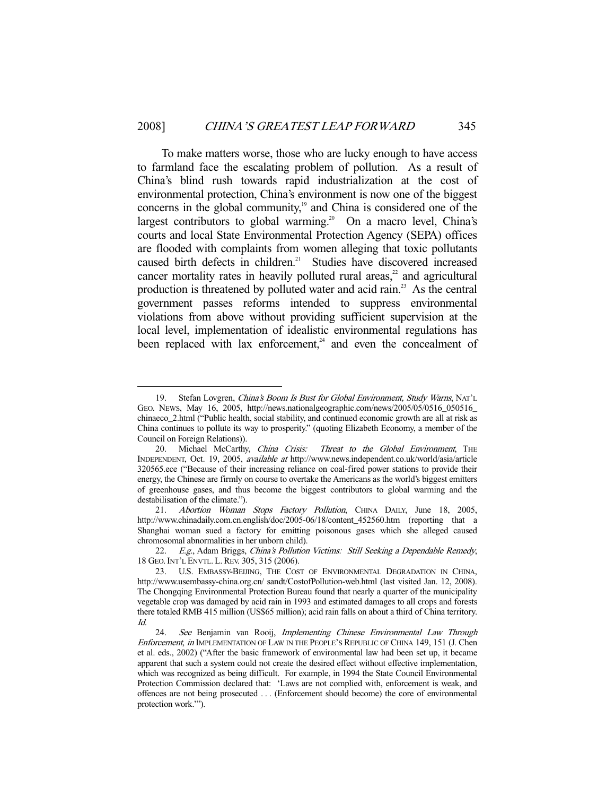To make matters worse, those who are lucky enough to have access to farmland face the escalating problem of pollution. As a result of China's blind rush towards rapid industrialization at the cost of environmental protection, China's environment is now one of the biggest concerns in the global community,<sup>19</sup> and China is considered one of the largest contributors to global warming.<sup>20</sup> On a macro level, China's courts and local State Environmental Protection Agency (SEPA) offices are flooded with complaints from women alleging that toxic pollutants caused birth defects in children.<sup>21</sup> Studies have discovered increased cancer mortality rates in heavily polluted rural areas,<sup>22</sup> and agricultural production is threatened by polluted water and acid rain.23 As the central government passes reforms intended to suppress environmental violations from above without providing sufficient supervision at the local level, implementation of idealistic environmental regulations has been replaced with lax enforcement, $24$  and even the concealment of

<sup>19.</sup> Stefan Lovgren, China's Boom Is Bust for Global Environment, Study Warns, NAT'L GEO. NEWS, May 16, 2005, http://news.nationalgeographic.com/news/2005/05/0516\_050516\_ chinaeco\_2.html ("Public health, social stability, and continued economic growth are all at risk as China continues to pollute its way to prosperity." (quoting Elizabeth Economy, a member of the Council on Foreign Relations)).

<sup>20.</sup> Michael McCarthy, China Crisis: Threat to the Global Environment, THE INDEPENDENT, Oct. 19, 2005, available at http://www.news.independent.co.uk/world/asia/article 320565.ece ("Because of their increasing reliance on coal-fired power stations to provide their energy, the Chinese are firmly on course to overtake the Americans as the world's biggest emitters of greenhouse gases, and thus become the biggest contributors to global warming and the destabilisation of the climate.").

 <sup>21.</sup> Abortion Woman Stops Factory Pollution, CHINA DAILY, June 18, 2005, http://www.chinadaily.com.cn.english/doc/2005-06/18/content\_452560.htm (reporting that a Shanghai woman sued a factory for emitting poisonous gases which she alleged caused chromosomal abnormalities in her unborn child).

 <sup>22.</sup> E.g., Adam Briggs, China's Pollution Victims: Still Seeking a Dependable Remedy, 18 GEO.INT'L ENVTL. L.REV. 305, 315 (2006).

 <sup>23.</sup> U.S. EMBASSY-BEIJING, THE COST OF ENVIRONMENTAL DEGRADATION IN CHINA, http://www.usembassy-china.org.cn/ sandt/CostofPollution-web.html (last visited Jan. 12, 2008). The Chongqing Environmental Protection Bureau found that nearly a quarter of the municipality vegetable crop was damaged by acid rain in 1993 and estimated damages to all crops and forests there totaled RMB 415 million (US\$65 million); acid rain falls on about a third of China territory. Id.

<sup>24.</sup> See Benjamin van Rooij, Implementing Chinese Environmental Law Through Enforcement, in IMPLEMENTATION OF LAW IN THE PEOPLE'S REPUBLIC OF CHINA 149, 151 (J. Chen et al. eds., 2002) ("After the basic framework of environmental law had been set up, it became apparent that such a system could not create the desired effect without effective implementation, which was recognized as being difficult. For example, in 1994 the State Council Environmental Protection Commission declared that: 'Laws are not complied with, enforcement is weak, and offences are not being prosecuted . . . (Enforcement should become) the core of environmental protection work.'").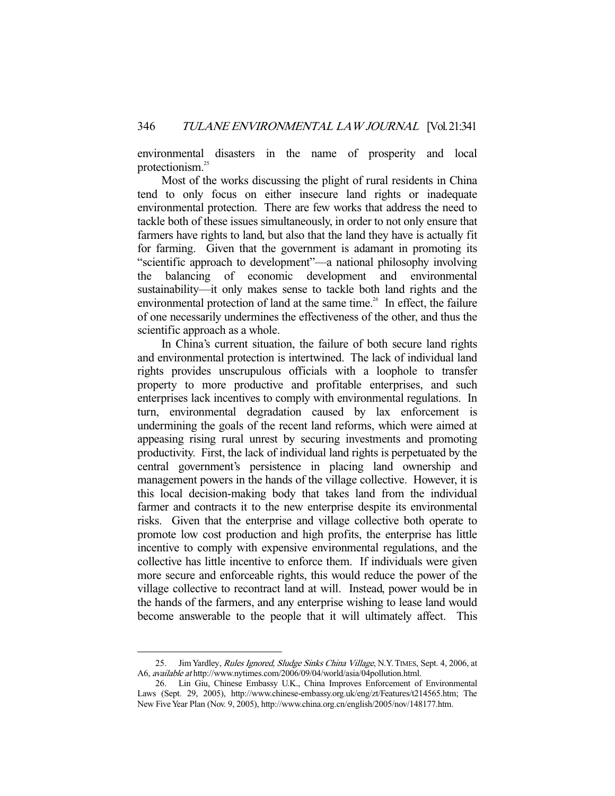environmental disasters in the name of prosperity and local protectionism.<sup>25</sup>

 Most of the works discussing the plight of rural residents in China tend to only focus on either insecure land rights or inadequate environmental protection. There are few works that address the need to tackle both of these issues simultaneously, in order to not only ensure that farmers have rights to land, but also that the land they have is actually fit for farming. Given that the government is adamant in promoting its "scientific approach to development"—a national philosophy involving the balancing of economic development and environmental sustainability—it only makes sense to tackle both land rights and the environmental protection of land at the same time.<sup>26</sup> In effect, the failure of one necessarily undermines the effectiveness of the other, and thus the scientific approach as a whole.

 In China's current situation, the failure of both secure land rights and environmental protection is intertwined. The lack of individual land rights provides unscrupulous officials with a loophole to transfer property to more productive and profitable enterprises, and such enterprises lack incentives to comply with environmental regulations. In turn, environmental degradation caused by lax enforcement is undermining the goals of the recent land reforms, which were aimed at appeasing rising rural unrest by securing investments and promoting productivity. First, the lack of individual land rights is perpetuated by the central government's persistence in placing land ownership and management powers in the hands of the village collective. However, it is this local decision-making body that takes land from the individual farmer and contracts it to the new enterprise despite its environmental risks. Given that the enterprise and village collective both operate to promote low cost production and high profits, the enterprise has little incentive to comply with expensive environmental regulations, and the collective has little incentive to enforce them. If individuals were given more secure and enforceable rights, this would reduce the power of the village collective to recontract land at will. Instead, power would be in the hands of the farmers, and any enterprise wishing to lease land would become answerable to the people that it will ultimately affect. This

<sup>25.</sup> Jim Yardley, Rules Ignored, Sludge Sinks China Village, N.Y. TIMES, Sept. 4, 2006, at A6, available at http://www.nytimes.com/2006/09/04/world/asia/04pollution.html.

 <sup>26.</sup> Lin Giu, Chinese Embassy U.K., China Improves Enforcement of Environmental Laws (Sept. 29, 2005), http://www.chinese-embassy.org.uk/eng/zt/Features/t214565.htm; The New Five Year Plan (Nov. 9, 2005), http://www.china.org.cn/english/2005/nov/148177.htm.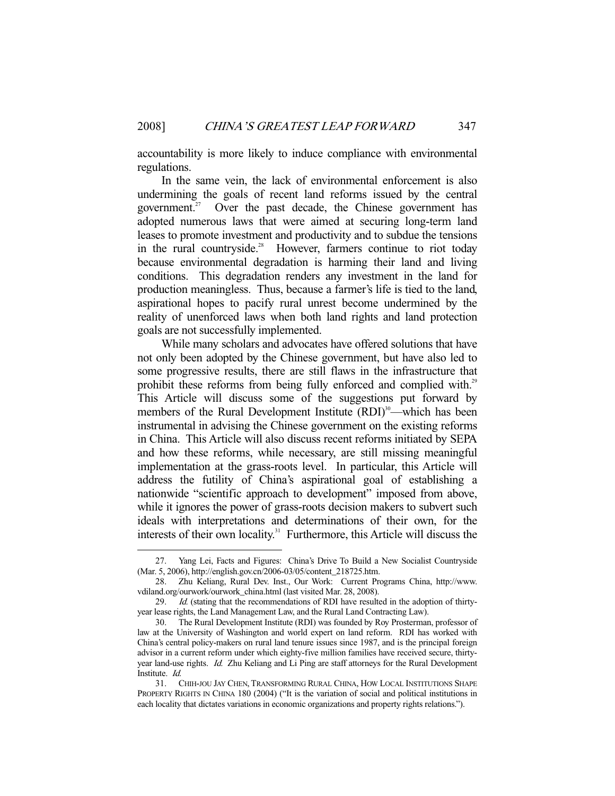accountability is more likely to induce compliance with environmental regulations.

 In the same vein, the lack of environmental enforcement is also undermining the goals of recent land reforms issued by the central government.<sup>27</sup> Over the past decade, the Chinese government has adopted numerous laws that were aimed at securing long-term land leases to promote investment and productivity and to subdue the tensions in the rural countryside.<sup>28</sup> However, farmers continue to riot today because environmental degradation is harming their land and living conditions. This degradation renders any investment in the land for production meaningless. Thus, because a farmer's life is tied to the land, aspirational hopes to pacify rural unrest become undermined by the reality of unenforced laws when both land rights and land protection goals are not successfully implemented.

 While many scholars and advocates have offered solutions that have not only been adopted by the Chinese government, but have also led to some progressive results, there are still flaws in the infrastructure that prohibit these reforms from being fully enforced and complied with.<sup>29</sup> This Article will discuss some of the suggestions put forward by members of the Rural Development Institute (RDI)<sup>30</sup>—which has been instrumental in advising the Chinese government on the existing reforms in China. This Article will also discuss recent reforms initiated by SEPA and how these reforms, while necessary, are still missing meaningful implementation at the grass-roots level. In particular, this Article will address the futility of China's aspirational goal of establishing a nationwide "scientific approach to development" imposed from above, while it ignores the power of grass-roots decision makers to subvert such ideals with interpretations and determinations of their own, for the interests of their own locality.<sup>31</sup> Furthermore, this Article will discuss the

 <sup>27.</sup> Yang Lei, Facts and Figures: China's Drive To Build a New Socialist Countryside (Mar. 5, 2006), http://english.gov.cn/2006-03/05/content\_218725.htm.

 <sup>28.</sup> Zhu Keliang, Rural Dev. Inst., Our Work: Current Programs China, http://www. vdiland.org/ourwork/ourwork\_china.html (last visited Mar. 28, 2008).

<sup>29.</sup> *Id.* (stating that the recommendations of RDI have resulted in the adoption of thirtyyear lease rights, the Land Management Law, and the Rural Land Contracting Law).

 <sup>30.</sup> The Rural Development Institute (RDI) was founded by Roy Prosterman, professor of law at the University of Washington and world expert on land reform. RDI has worked with China's central policy-makers on rural land tenure issues since 1987, and is the principal foreign advisor in a current reform under which eighty-five million families have received secure, thirtyyear land-use rights. Id. Zhu Keliang and Li Ping are staff attorneys for the Rural Development Institute. Id.

 <sup>31.</sup> CHIH-JOU JAY CHEN, TRANSFORMING RURAL CHINA, HOW LOCAL INSTITUTIONS SHAPE PROPERTY RIGHTS IN CHINA 180 (2004) ("It is the variation of social and political institutions in each locality that dictates variations in economic organizations and property rights relations.").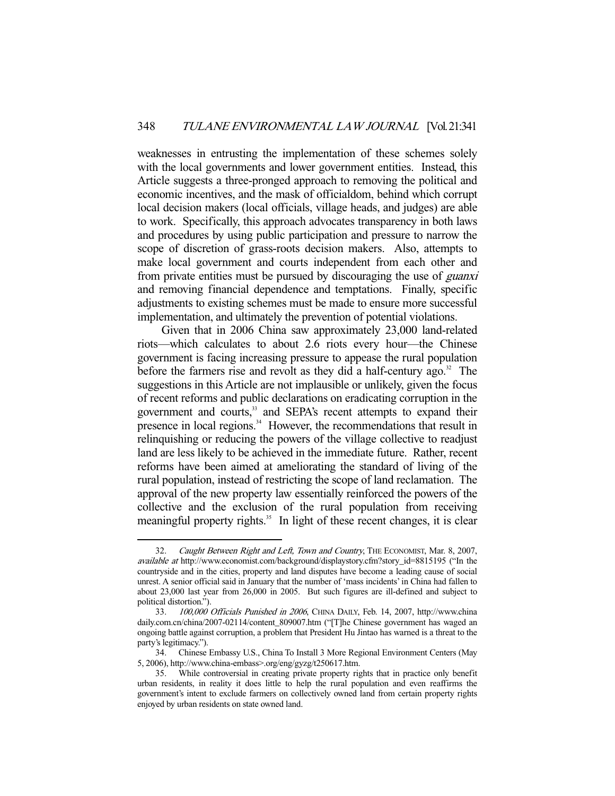weaknesses in entrusting the implementation of these schemes solely with the local governments and lower government entities. Instead, this Article suggests a three-pronged approach to removing the political and economic incentives, and the mask of officialdom, behind which corrupt local decision makers (local officials, village heads, and judges) are able to work. Specifically, this approach advocates transparency in both laws and procedures by using public participation and pressure to narrow the scope of discretion of grass-roots decision makers. Also, attempts to make local government and courts independent from each other and from private entities must be pursued by discouraging the use of guanxi and removing financial dependence and temptations. Finally, specific adjustments to existing schemes must be made to ensure more successful implementation, and ultimately the prevention of potential violations.

 Given that in 2006 China saw approximately 23,000 land-related riots—which calculates to about 2.6 riots every hour—the Chinese government is facing increasing pressure to appease the rural population before the farmers rise and revolt as they did a half-century  $a\alpha$ <sup>32</sup>. The suggestions in this Article are not implausible or unlikely, given the focus of recent reforms and public declarations on eradicating corruption in the government and courts,<sup>33</sup> and SEPA's recent attempts to expand their presence in local regions.<sup>34</sup> However, the recommendations that result in relinquishing or reducing the powers of the village collective to readjust land are less likely to be achieved in the immediate future. Rather, recent reforms have been aimed at ameliorating the standard of living of the rural population, instead of restricting the scope of land reclamation. The approval of the new property law essentially reinforced the powers of the collective and the exclusion of the rural population from receiving meaningful property rights.<sup>35</sup> In light of these recent changes, it is clear

<sup>32.</sup> Caught Between Right and Left, Town and Country, THE ECONOMIST, Mar. 8, 2007, available at http://www.economist.com/background/displaystory.cfm?story\_id=8815195 ("In the countryside and in the cities, property and land disputes have become a leading cause of social unrest. A senior official said in January that the number of 'mass incidents' in China had fallen to about 23,000 last year from 26,000 in 2005. But such figures are ill-defined and subject to political distortion.").

 <sup>33.</sup> 100,000 Officials Punished in 2006, CHINA DAILY, Feb. 14, 2007, http://www.china daily.com.cn/china/2007-02114/content\_809007.htm ("[T]he Chinese government has waged an ongoing battle against corruption, a problem that President Hu Jintao has warned is a threat to the party's legitimacy.").

 <sup>34.</sup> Chinese Embassy U.S., China To Install 3 More Regional Environment Centers (May 5, 2006), http://www.china-embass>.org/eng/gyzg/t250617.htm.

 <sup>35.</sup> While controversial in creating private property rights that in practice only benefit urban residents, in reality it does little to help the rural population and even reaffirms the government's intent to exclude farmers on collectively owned land from certain property rights enjoyed by urban residents on state owned land.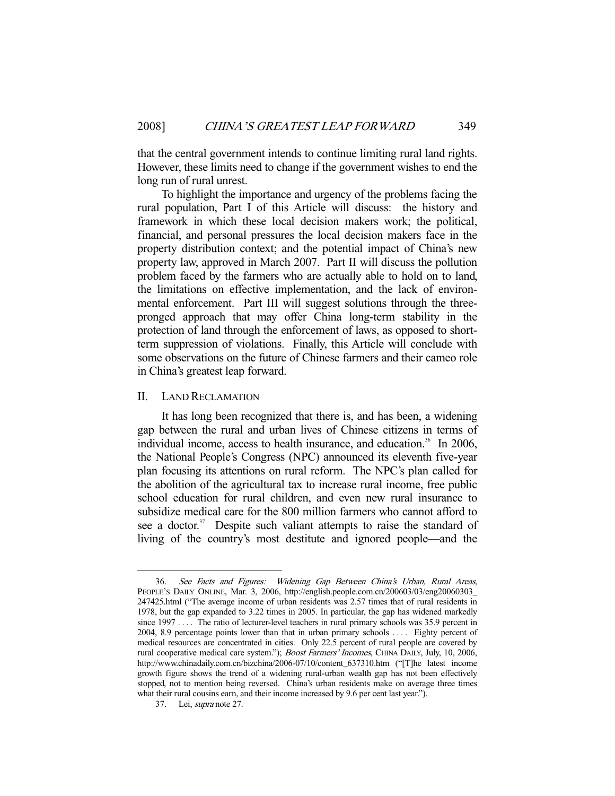that the central government intends to continue limiting rural land rights. However, these limits need to change if the government wishes to end the long run of rural unrest.

 To highlight the importance and urgency of the problems facing the rural population, Part I of this Article will discuss: the history and framework in which these local decision makers work; the political, financial, and personal pressures the local decision makers face in the property distribution context; and the potential impact of China's new property law, approved in March 2007. Part II will discuss the pollution problem faced by the farmers who are actually able to hold on to land, the limitations on effective implementation, and the lack of environmental enforcement. Part III will suggest solutions through the threepronged approach that may offer China long-term stability in the protection of land through the enforcement of laws, as opposed to shortterm suppression of violations. Finally, this Article will conclude with some observations on the future of Chinese farmers and their cameo role in China's greatest leap forward.

## II. LAND RECLAMATION

 It has long been recognized that there is, and has been, a widening gap between the rural and urban lives of Chinese citizens in terms of individual income, access to health insurance, and education.<sup>36</sup> In 2006, the National People's Congress (NPC) announced its eleventh five-year plan focusing its attentions on rural reform. The NPC's plan called for the abolition of the agricultural tax to increase rural income, free public school education for rural children, and even new rural insurance to subsidize medical care for the 800 million farmers who cannot afford to see a doctor.<sup>37</sup> Despite such valiant attempts to raise the standard of living of the country's most destitute and ignored people—and the

 <sup>36.</sup> See Facts and Figures: Widening Gap Between China's Urban, Rural Areas, PEOPLE'S DAILY ONLINE, Mar. 3, 2006, http://english.people.com.cn/200603/03/eng20060303\_ 247425.html ("The average income of urban residents was 2.57 times that of rural residents in 1978, but the gap expanded to 3.22 times in 2005. In particular, the gap has widened markedly since 1997 . . . . The ratio of lecturer-level teachers in rural primary schools was 35.9 percent in 2004, 8.9 percentage points lower than that in urban primary schools .... Eighty percent of medical resources are concentrated in cities. Only 22.5 percent of rural people are covered by rural cooperative medical care system."); Boost Farmers' Incomes, CHINA DAILY, July, 10, 2006, http://www.chinadaily.com.cn/bizchina/2006-07/10/content\_637310.htm ("[T]he latest income growth figure shows the trend of a widening rural-urban wealth gap has not been effectively stopped, not to mention being reversed. China's urban residents make on average three times what their rural cousins earn, and their income increased by 9.6 per cent last year.").

 <sup>37.</sup> Lei, supra note 27.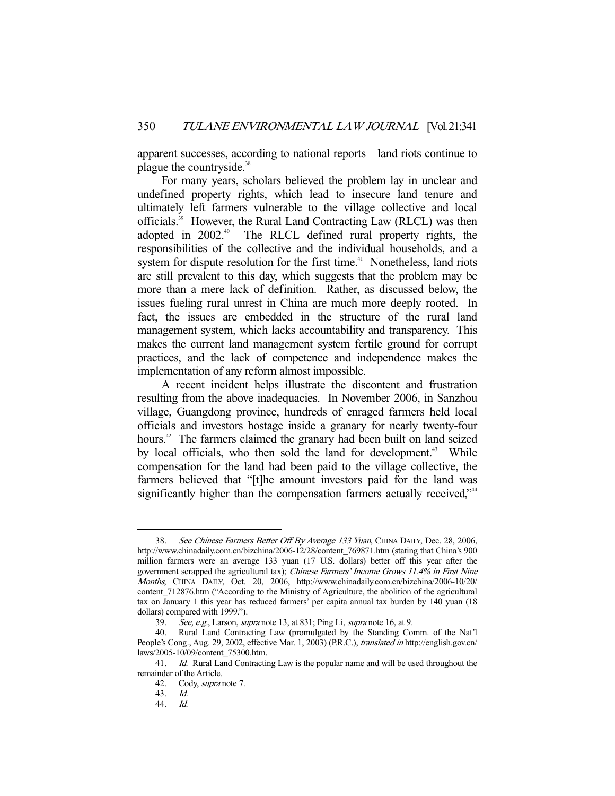apparent successes, according to national reports—land riots continue to plague the countryside.<sup>38</sup>

 For many years, scholars believed the problem lay in unclear and undefined property rights, which lead to insecure land tenure and ultimately left farmers vulnerable to the village collective and local officials.39 However, the Rural Land Contracting Law (RLCL) was then adopted in 2002<sup>40</sup> The RLCL defined rural property rights, the responsibilities of the collective and the individual households, and a system for dispute resolution for the first time.<sup>41</sup> Nonetheless, land riots are still prevalent to this day, which suggests that the problem may be more than a mere lack of definition. Rather, as discussed below, the issues fueling rural unrest in China are much more deeply rooted. In fact, the issues are embedded in the structure of the rural land management system, which lacks accountability and transparency. This makes the current land management system fertile ground for corrupt practices, and the lack of competence and independence makes the implementation of any reform almost impossible.

 A recent incident helps illustrate the discontent and frustration resulting from the above inadequacies. In November 2006, in Sanzhou village, Guangdong province, hundreds of enraged farmers held local officials and investors hostage inside a granary for nearly twenty-four hours.<sup>42</sup> The farmers claimed the granary had been built on land seized by local officials, who then sold the land for development.<sup>43</sup> While compensation for the land had been paid to the village collective, the farmers believed that "[t]he amount investors paid for the land was significantly higher than the compensation farmers actually received,<sup>\*\*4</sup>

<sup>38.</sup> See Chinese Farmers Better Off By Average 133 Yuan, CHINA DAILY, Dec. 28, 2006, http://www.chinadaily.com.cn/bizchina/2006-12/28/content\_769871.htm (stating that China's 900 million farmers were an average 133 yuan (17 U.S. dollars) better off this year after the government scrapped the agricultural tax); Chinese Farmers' Income Grows 11.4% in First Nine Months, CHINA DAILY, Oct. 20, 2006, http://www.chinadaily.com.cn/bizchina/2006-10/20/ content\_712876.htm ("According to the Ministry of Agriculture, the abolition of the agricultural tax on January 1 this year has reduced farmers' per capita annual tax burden by 140 yuan (18 dollars) compared with 1999.").

 <sup>39.</sup> See, e.g., Larson, supra note 13, at 831; Ping Li, supra note 16, at 9.

 <sup>40.</sup> Rural Land Contracting Law (promulgated by the Standing Comm. of the Nat'l People's Cong., Aug. 29, 2002, effective Mar. 1, 2003) (P.R.C.), translated in http://english.gov.cn/ laws/2005-10/09/content\_75300.htm.

<sup>41.</sup> *Id.* Rural Land Contracting Law is the popular name and will be used throughout the remainder of the Article.

 <sup>42.</sup> Cody, supra note 7.

 <sup>43.</sup> Id.

 <sup>44.</sup> Id.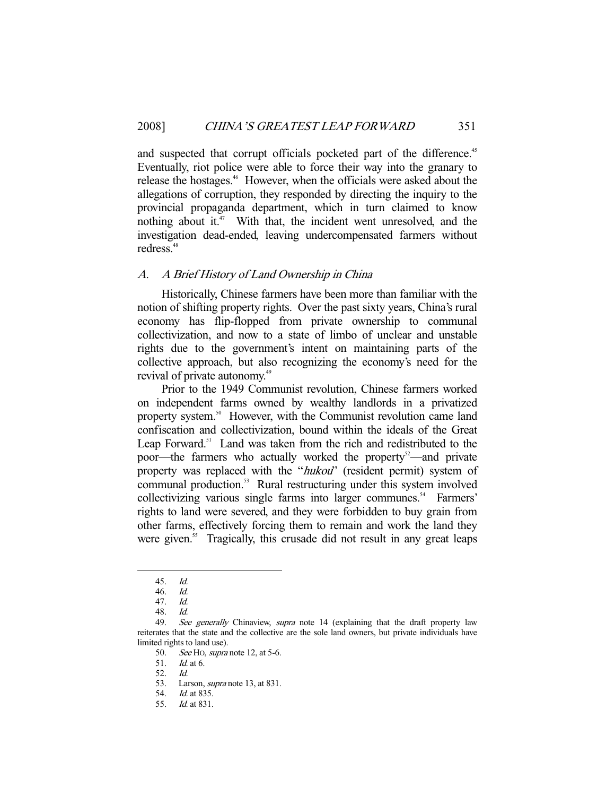and suspected that corrupt officials pocketed part of the difference.<sup>45</sup> Eventually, riot police were able to force their way into the granary to release the hostages.46 However, when the officials were asked about the allegations of corruption, they responded by directing the inquiry to the provincial propaganda department, which in turn claimed to know nothing about it. $47$  With that, the incident went unresolved, and the investigation dead-ended, leaving undercompensated farmers without redress.<sup>48</sup>

## A. A Brief History of Land Ownership in China

 Historically, Chinese farmers have been more than familiar with the notion of shifting property rights. Over the past sixty years, China's rural economy has flip-flopped from private ownership to communal collectivization, and now to a state of limbo of unclear and unstable rights due to the government's intent on maintaining parts of the collective approach, but also recognizing the economy's need for the revival of private autonomy.<sup>49</sup>

 Prior to the 1949 Communist revolution, Chinese farmers worked on independent farms owned by wealthy landlords in a privatized property system.<sup>50</sup> However, with the Communist revolution came land confiscation and collectivization, bound within the ideals of the Great Leap Forward.<sup>51</sup> Land was taken from the rich and redistributed to the poor—the farmers who actually worked the property<sup>52</sup>—and private property was replaced with the "hukou" (resident permit) system of communal production.<sup>53</sup> Rural restructuring under this system involved collectivizing various single farms into larger communes.<sup>54</sup> Farmers' rights to land were severed, and they were forbidden to buy grain from other farms, effectively forcing them to remain and work the land they were given.<sup>55</sup> Tragically, this crusade did not result in any great leaps

 <sup>45.</sup> Id.

 <sup>46.</sup> Id.

 <sup>47.</sup> Id.

 <sup>48.</sup> Id.

<sup>49.</sup> See generally Chinaview, supra note 14 (explaining that the draft property law reiterates that the state and the collective are the sole land owners, but private individuals have limited rights to land use).

<sup>50.</sup> See Ho, *supra* note 12, at 5-6.

 <sup>51.</sup> Id. at 6.

 <sup>52.</sup> Id.

 <sup>53.</sup> Larson, supra note 13, at 831.

 <sup>54.</sup> Id. at 835.

 <sup>55.</sup> Id. at 831.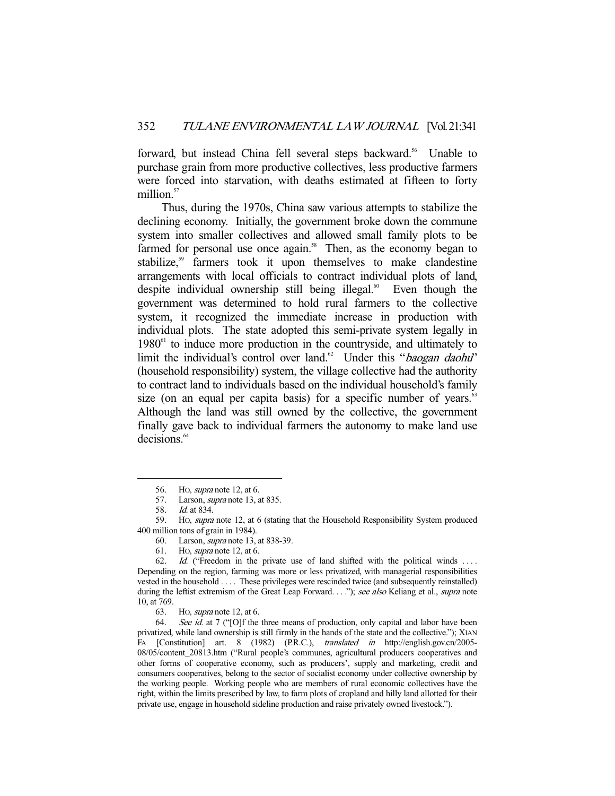forward, but instead China fell several steps backward.<sup>56</sup> Unable to purchase grain from more productive collectives, less productive farmers were forced into starvation, with deaths estimated at fifteen to forty million.<sup>57</sup>

 Thus, during the 1970s, China saw various attempts to stabilize the declining economy. Initially, the government broke down the commune system into smaller collectives and allowed small family plots to be farmed for personal use once again.<sup>58</sup> Then, as the economy began to stabilize,<sup>59</sup> farmers took it upon themselves to make clandestine arrangements with local officials to contract individual plots of land, despite individual ownership still being illegal.<sup>60</sup> Even though the government was determined to hold rural farmers to the collective system, it recognized the immediate increase in production with individual plots. The state adopted this semi-private system legally in  $1980<sup>61</sup>$  to induce more production in the countryside, and ultimately to limit the individual's control over land.<sup>62</sup> Under this "*baogan daohu*" (household responsibility) system, the village collective had the authority to contract land to individuals based on the individual household's family size (on an equal per capita basis) for a specific number of years.<sup>63</sup> Although the land was still owned by the collective, the government finally gave back to individual farmers the autonomy to make land use decisions.<sup>64</sup>

-

60. Larson, supra note 13, at 838-39.

<sup>56.</sup> Ho, *supra* note 12, at 6.

<sup>57.</sup> Larson, *supra* note 13, at 835.

 <sup>58.</sup> Id. at 834.

 <sup>59.</sup> HO, supra note 12, at 6 (stating that the Household Responsibility System produced 400 million tons of grain in 1984).

 <sup>61.</sup> HO, supra note 12, at 6.

<sup>62.</sup> Id. ("Freedom in the private use of land shifted with the political winds ... Depending on the region, farming was more or less privatized, with managerial responsibilities vested in the household . . . . These privileges were rescinded twice (and subsequently reinstalled) during the leftist extremism of the Great Leap Forward. . . ."); see also Keliang et al., supra note 10, at 769.

 <sup>63.</sup> HO, supra note 12, at 6.

<sup>64.</sup> See id. at 7 ("[O]f the three means of production, only capital and labor have been privatized, while land ownership is still firmly in the hands of the state and the collective."); XIAN FA [Constitution] art. 8 (1982) (P.R.C.), translated in http://english.gov.cn/2005- 08/05/content\_20813.htm ("Rural people's communes, agricultural producers cooperatives and other forms of cooperative economy, such as producers', supply and marketing, credit and consumers cooperatives, belong to the sector of socialist economy under collective ownership by the working people. Working people who are members of rural economic collectives have the right, within the limits prescribed by law, to farm plots of cropland and hilly land allotted for their private use, engage in household sideline production and raise privately owned livestock.").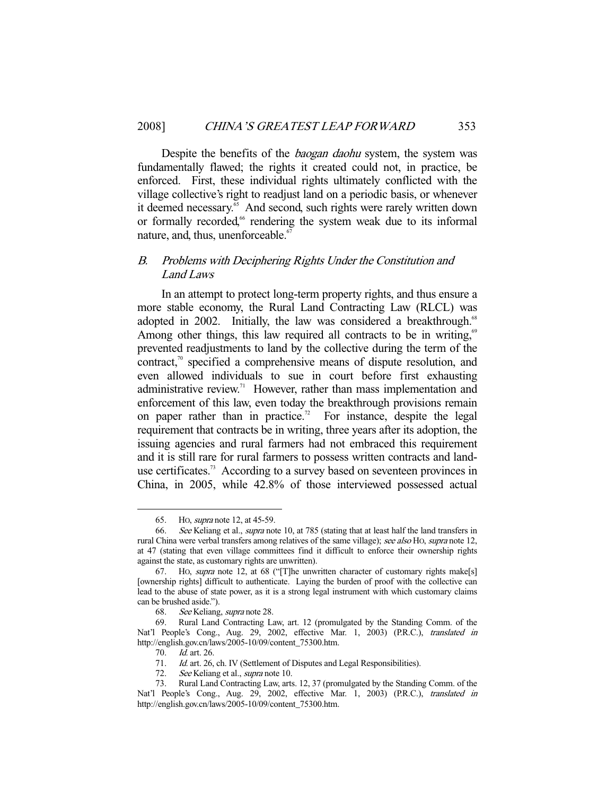Despite the benefits of the *baogan daohu* system, the system was fundamentally flawed; the rights it created could not, in practice, be enforced. First, these individual rights ultimately conflicted with the village collective's right to readjust land on a periodic basis, or whenever it deemed necessary.<sup>65</sup> And second, such rights were rarely written down or formally recorded,<sup>66</sup> rendering the system weak due to its informal nature, and, thus, unenforceable.<sup>67</sup>

# B. Problems with Deciphering Rights Under the Constitution and Land Laws

 In an attempt to protect long-term property rights, and thus ensure a more stable economy, the Rural Land Contracting Law (RLCL) was adopted in 2002. Initially, the law was considered a breakthrough.<sup>68</sup> Among other things, this law required all contracts to be in writing,<sup>69</sup> prevented readjustments to land by the collective during the term of the contract, $\alpha$ <sup>0</sup> specified a comprehensive means of dispute resolution, and even allowed individuals to sue in court before first exhausting administrative review.<sup>71</sup> However, rather than mass implementation and enforcement of this law, even today the breakthrough provisions remain on paper rather than in practice.<sup>72</sup> For instance, despite the legal requirement that contracts be in writing, three years after its adoption, the issuing agencies and rural farmers had not embraced this requirement and it is still rare for rural farmers to possess written contracts and landuse certificates.<sup>73</sup> According to a survey based on seventeen provinces in China, in 2005, while 42.8% of those interviewed possessed actual

 <sup>65.</sup> HO, supra note 12, at 45-59.

<sup>66.</sup> See Keliang et al., *supra* note 10, at 785 (stating that at least half the land transfers in rural China were verbal transfers among relatives of the same village); see also HO, supra note 12, at 47 (stating that even village committees find it difficult to enforce their ownership rights against the state, as customary rights are unwritten).

 <sup>67.</sup> HO, supra note 12, at 68 ("[T]he unwritten character of customary rights make[s] [ownership rights] difficult to authenticate. Laying the burden of proof with the collective can lead to the abuse of state power, as it is a strong legal instrument with which customary claims can be brushed aside.").

 <sup>68.</sup> See Keliang, supra note 28.

 <sup>69.</sup> Rural Land Contracting Law, art. 12 (promulgated by the Standing Comm. of the Nat'l People's Cong., Aug. 29, 2002, effective Mar. 1, 2003) (P.R.C.), translated in http://english.gov.cn/laws/2005-10/09/content\_75300.htm.

<sup>70.</sup> *Id.* art. 26.

<sup>71.</sup> Id. art. 26, ch. IV (Settlement of Disputes and Legal Responsibilities).

<sup>72.</sup> See Keliang et al., *supra* note 10.<br>73. Rural Land Contracting Law. arts Rural Land Contracting Law, arts. 12, 37 (promulgated by the Standing Comm. of the Nat'l People's Cong., Aug. 29, 2002, effective Mar. 1, 2003) (P.R.C.), translated in http://english.gov.cn/laws/2005-10/09/content\_75300.htm.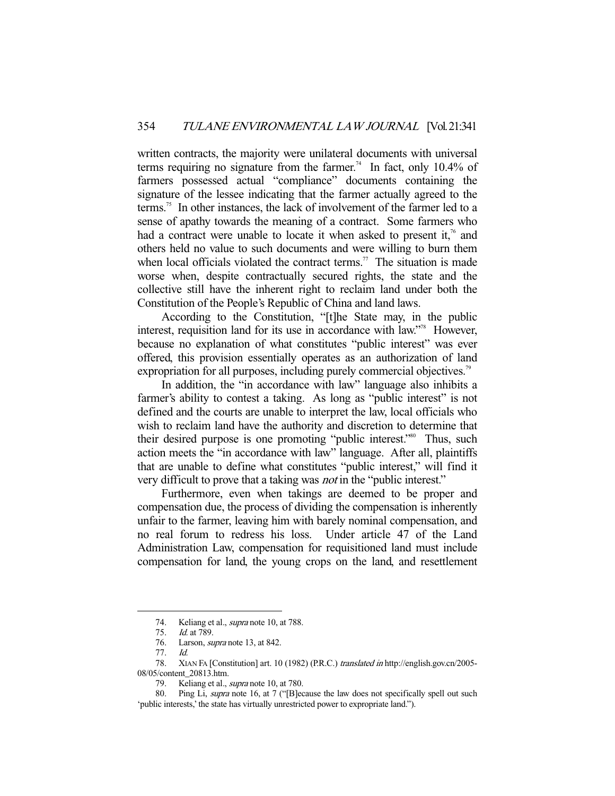written contracts, the majority were unilateral documents with universal terms requiring no signature from the farmer.<sup>74</sup> In fact, only 10.4% of farmers possessed actual "compliance" documents containing the signature of the lessee indicating that the farmer actually agreed to the terms.<sup>75</sup> In other instances, the lack of involvement of the farmer led to a sense of apathy towards the meaning of a contract. Some farmers who had a contract were unable to locate it when asked to present it,<sup>76</sup> and others held no value to such documents and were willing to burn them when local officials violated the contract terms.<sup>77</sup> The situation is made worse when, despite contractually secured rights, the state and the collective still have the inherent right to reclaim land under both the Constitution of the People's Republic of China and land laws.

 According to the Constitution, "[t]he State may, in the public interest, requisition land for its use in accordance with law."<sup>78</sup> However, because no explanation of what constitutes "public interest" was ever offered, this provision essentially operates as an authorization of land expropriation for all purposes, including purely commercial objectives.<sup>79</sup>

 In addition, the "in accordance with law" language also inhibits a farmer's ability to contest a taking. As long as "public interest" is not defined and the courts are unable to interpret the law, local officials who wish to reclaim land have the authority and discretion to determine that their desired purpose is one promoting "public interest."<sup>80</sup> Thus, such action meets the "in accordance with law" language. After all, plaintiffs that are unable to define what constitutes "public interest," will find it very difficult to prove that a taking was *not* in the "public interest."

 Furthermore, even when takings are deemed to be proper and compensation due, the process of dividing the compensation is inherently unfair to the farmer, leaving him with barely nominal compensation, and no real forum to redress his loss. Under article 47 of the Land Administration Law, compensation for requisitioned land must include compensation for land, the young crops on the land, and resettlement

<sup>74.</sup> Keliang et al., *supra* note 10, at 788.<br>75. *Id.* at 789.

*Id.* at 789.

<sup>76.</sup> Larson, *supra* note 13, at 842.

 <sup>77.</sup> Id.

<sup>78.</sup> XIAN FA [Constitution] art. 10 (1982) (P.R.C.) translated in http://english.gov.cn/2005-08/05/content\_20813.htm.

<sup>79.</sup> Keliang et al., supra note 10, at 780.

<sup>80.</sup> Ping Li, supra note 16, at 7 ("[B]ecause the law does not specifically spell out such 'public interests,' the state has virtually unrestricted power to expropriate land.").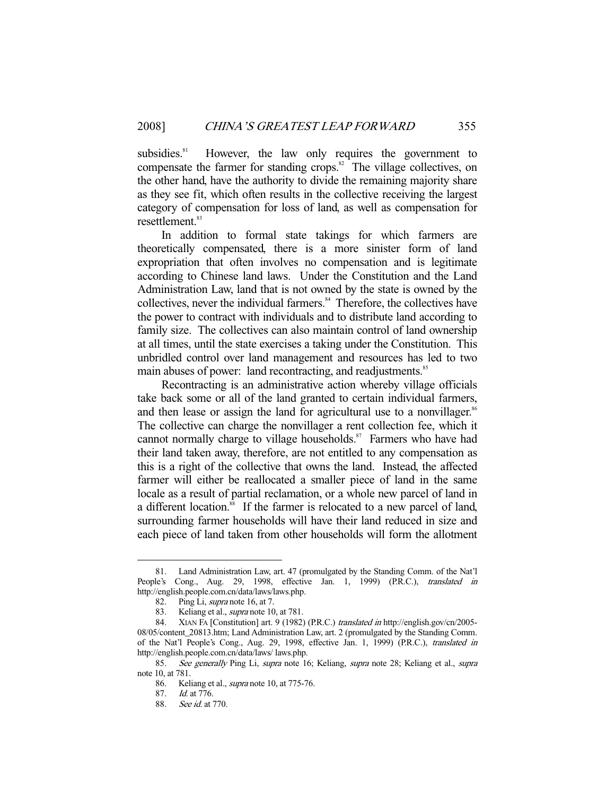subsidies.<sup>81</sup> However, the law only requires the government to compensate the farmer for standing crops.<sup>82</sup> The village collectives, on the other hand, have the authority to divide the remaining majority share as they see fit, which often results in the collective receiving the largest category of compensation for loss of land, as well as compensation for resettlement.<sup>83</sup>

 In addition to formal state takings for which farmers are theoretically compensated, there is a more sinister form of land expropriation that often involves no compensation and is legitimate according to Chinese land laws. Under the Constitution and the Land Administration Law, land that is not owned by the state is owned by the collectives, never the individual farmers.<sup>84</sup> Therefore, the collectives have the power to contract with individuals and to distribute land according to family size. The collectives can also maintain control of land ownership at all times, until the state exercises a taking under the Constitution. This unbridled control over land management and resources has led to two main abuses of power: land recontracting, and readjustments.<sup>85</sup>

 Recontracting is an administrative action whereby village officials take back some or all of the land granted to certain individual farmers, and then lease or assign the land for agricultural use to a nonvillager.<sup>86</sup> The collective can charge the nonvillager a rent collection fee, which it cannot normally charge to village households.<sup>87</sup> Farmers who have had their land taken away, therefore, are not entitled to any compensation as this is a right of the collective that owns the land. Instead, the affected farmer will either be reallocated a smaller piece of land in the same locale as a result of partial reclamation, or a whole new parcel of land in a different location.<sup>88</sup> If the farmer is relocated to a new parcel of land, surrounding farmer households will have their land reduced in size and each piece of land taken from other households will form the allotment

 <sup>81.</sup> Land Administration Law, art. 47 (promulgated by the Standing Comm. of the Nat'l People's Cong., Aug. 29, 1998, effective Jan. 1, 1999) (P.R.C.), translated in http://english.people.com.cn/data/laws/laws.php.

 <sup>82.</sup> Ping Li, supra note 16, at 7.

<sup>83.</sup> Keliang et al., *supra* note 10, at 781.<br>84. XIAN FA [Constitution] art. 9 (1982)

 <sup>84.</sup> XIAN FA [Constitution] art. 9 (1982) (P.R.C.) translated in http://english.gov/cn/2005- 08/05/content\_20813.htm; Land Administration Law, art. 2 (promulgated by the Standing Comm. of the Nat'l People's Cong., Aug. 29, 1998, effective Jan. 1, 1999) (P.R.C.), translated in http://english.people.com.cn/data/laws/ laws.php.

<sup>85.</sup> See generally Ping Li, supra note 16; Keliang, supra note 28; Keliang et al., supra note 10, at 781.

<sup>86.</sup> Keliang et al., *supra* note 10, at 775-76.

 <sup>87.</sup> Id. at 776.

 <sup>88.</sup> See id. at 770.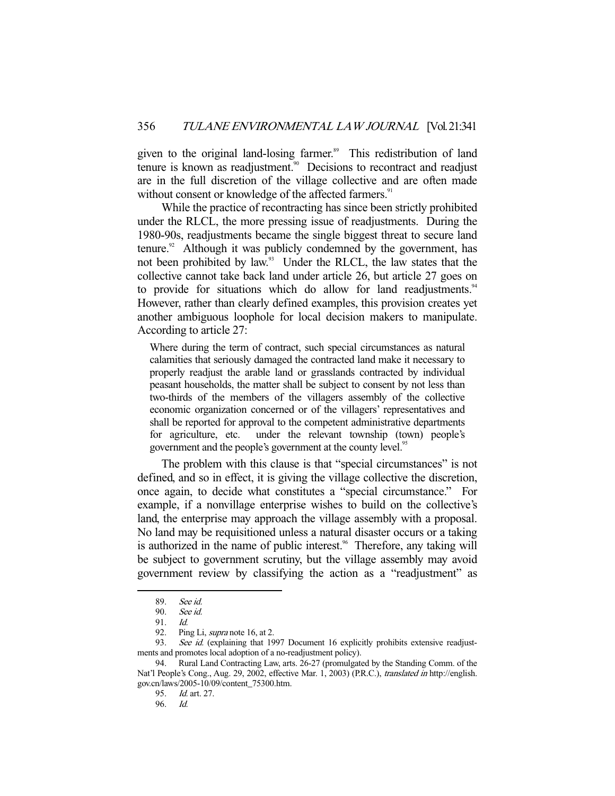given to the original land-losing farmer.<sup>89</sup> This redistribution of land tenure is known as readjustment.<sup>90</sup> Decisions to recontract and readjust are in the full discretion of the village collective and are often made without consent or knowledge of the affected farmers.<sup>91</sup>

 While the practice of recontracting has since been strictly prohibited under the RLCL, the more pressing issue of readjustments. During the 1980-90s, readjustments became the single biggest threat to secure land tenure. $92$  Although it was publicly condemned by the government, has not been prohibited by law.<sup>93</sup> Under the RLCL, the law states that the collective cannot take back land under article 26, but article 27 goes on to provide for situations which do allow for land readjustments.<sup>94</sup> However, rather than clearly defined examples, this provision creates yet another ambiguous loophole for local decision makers to manipulate. According to article 27:

Where during the term of contract, such special circumstances as natural calamities that seriously damaged the contracted land make it necessary to properly readjust the arable land or grasslands contracted by individual peasant households, the matter shall be subject to consent by not less than two-thirds of the members of the villagers assembly of the collective economic organization concerned or of the villagers' representatives and shall be reported for approval to the competent administrative departments for agriculture, etc. under the relevant township (town) people's government and the people's government at the county level.<sup>95</sup>

 The problem with this clause is that "special circumstances" is not defined, and so in effect, it is giving the village collective the discretion, once again, to decide what constitutes a "special circumstance." For example, if a nonvillage enterprise wishes to build on the collective's land, the enterprise may approach the village assembly with a proposal. No land may be requisitioned unless a natural disaster occurs or a taking is authorized in the name of public interest.<sup>96</sup> Therefore, any taking will be subject to government scrutiny, but the village assembly may avoid government review by classifying the action as a "readjustment" as

 <sup>89.</sup> See id.

 <sup>90.</sup> See id.

 <sup>91.</sup> Id.

<sup>92.</sup> Ping Li, *supra* note 16, at 2.

<sup>93.</sup> See id. (explaining that 1997 Document 16 explicitly prohibits extensive readjustments and promotes local adoption of a no-readjustment policy).

 <sup>94.</sup> Rural Land Contracting Law, arts. 26-27 (promulgated by the Standing Comm. of the Nat'l People's Cong., Aug. 29, 2002, effective Mar. 1, 2003) (P.R.C.), translated in http://english. gov.cn/laws/2005-10/09/content\_75300.htm.

<sup>95.</sup> *Id.* art. 27.<br>96. *Id.* 

 <sup>96.</sup> Id.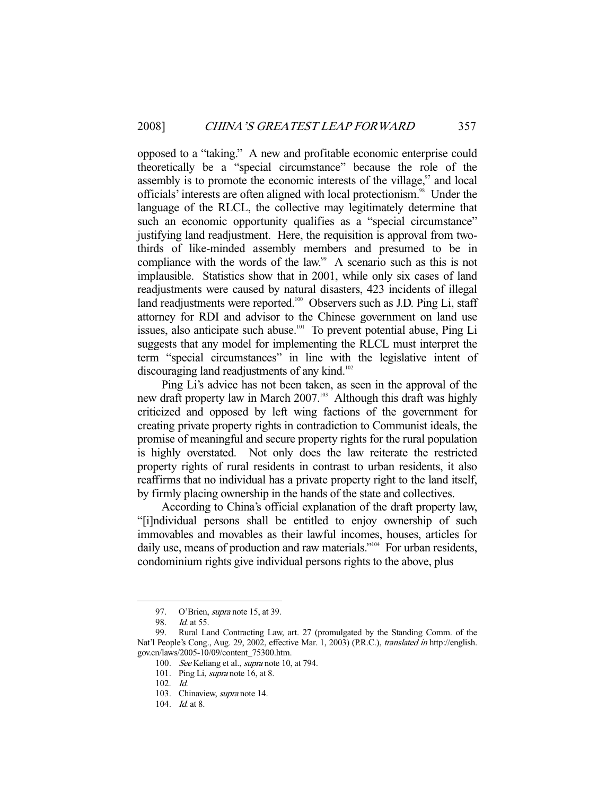opposed to a "taking." A new and profitable economic enterprise could theoretically be a "special circumstance" because the role of the assembly is to promote the economic interests of the village, $\frac{97}{7}$  and local officials' interests are often aligned with local protectionism.<sup>98</sup> Under the language of the RLCL, the collective may legitimately determine that such an economic opportunity qualifies as a "special circumstance" justifying land readjustment. Here, the requisition is approval from twothirds of like-minded assembly members and presumed to be in compliance with the words of the law.<sup>99</sup> A scenario such as this is not implausible. Statistics show that in 2001, while only six cases of land readjustments were caused by natural disasters, 423 incidents of illegal land readjustments were reported.<sup>100</sup> Observers such as J.D. Ping Li, staff attorney for RDI and advisor to the Chinese government on land use issues, also anticipate such abuse.<sup>101</sup> To prevent potential abuse, Ping Li suggests that any model for implementing the RLCL must interpret the term "special circumstances" in line with the legislative intent of discouraging land readjustments of any kind.<sup>102</sup>

 Ping Li's advice has not been taken, as seen in the approval of the new draft property law in March 2007. $\frac{103}{100}$  Although this draft was highly criticized and opposed by left wing factions of the government for creating private property rights in contradiction to Communist ideals, the promise of meaningful and secure property rights for the rural population is highly overstated. Not only does the law reiterate the restricted property rights of rural residents in contrast to urban residents, it also reaffirms that no individual has a private property right to the land itself, by firmly placing ownership in the hands of the state and collectives.

 According to China's official explanation of the draft property law, "[i]ndividual persons shall be entitled to enjoy ownership of such immovables and movables as their lawful incomes, houses, articles for daily use, means of production and raw materials."<sup>104</sup> For urban residents, condominium rights give individual persons rights to the above, plus

<sup>97.</sup> O'Brien, *supra* note 15, at 39.

 <sup>98.</sup> Id. at 55.

 <sup>99.</sup> Rural Land Contracting Law, art. 27 (promulgated by the Standing Comm. of the Nat'l People's Cong., Aug. 29, 2002, effective Mar. 1, 2003) (P.R.C.), translated in http://english. gov.cn/laws/2005-10/09/content\_75300.htm.

<sup>100.</sup> See Keliang et al., supra note 10, at 794.

<sup>101.</sup> Ping Li, supra note 16, at 8.

 <sup>102.</sup> Id.

 <sup>103.</sup> Chinaview, supra note 14.

<sup>104.</sup> *Id.* at 8.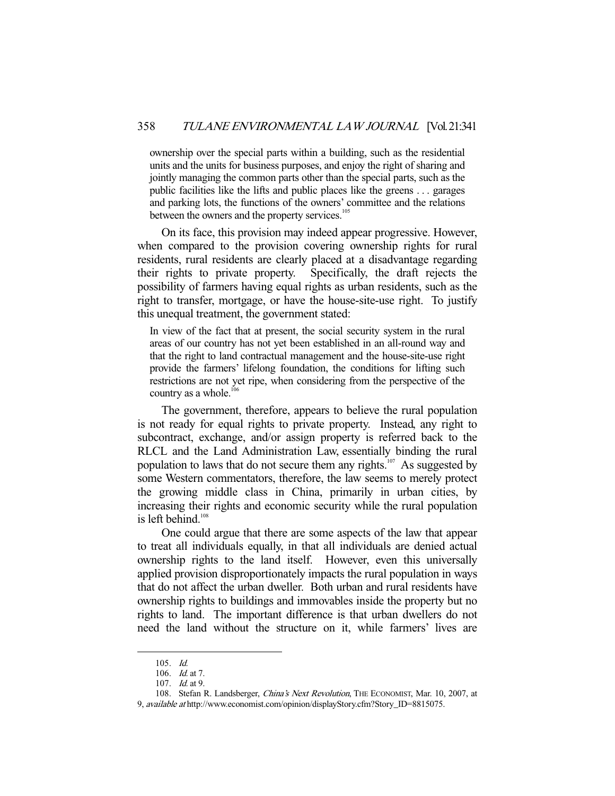ownership over the special parts within a building, such as the residential units and the units for business purposes, and enjoy the right of sharing and jointly managing the common parts other than the special parts, such as the public facilities like the lifts and public places like the greens . . . garages and parking lots, the functions of the owners' committee and the relations between the owners and the property services.<sup>105</sup>

 On its face, this provision may indeed appear progressive. However, when compared to the provision covering ownership rights for rural residents, rural residents are clearly placed at a disadvantage regarding their rights to private property. Specifically, the draft rejects the possibility of farmers having equal rights as urban residents, such as the right to transfer, mortgage, or have the house-site-use right. To justify this unequal treatment, the government stated:

In view of the fact that at present, the social security system in the rural areas of our country has not yet been established in an all-round way and that the right to land contractual management and the house-site-use right provide the farmers' lifelong foundation, the conditions for lifting such restrictions are not yet ripe, when considering from the perspective of the country as a whole.<sup>106</sup>

 The government, therefore, appears to believe the rural population is not ready for equal rights to private property. Instead, any right to subcontract, exchange, and/or assign property is referred back to the RLCL and the Land Administration Law, essentially binding the rural population to laws that do not secure them any rights.<sup>107</sup> As suggested by some Western commentators, therefore, the law seems to merely protect the growing middle class in China, primarily in urban cities, by increasing their rights and economic security while the rural population is left behind. $108$ 

 One could argue that there are some aspects of the law that appear to treat all individuals equally, in that all individuals are denied actual ownership rights to the land itself. However, even this universally applied provision disproportionately impacts the rural population in ways that do not affect the urban dweller. Both urban and rural residents have ownership rights to buildings and immovables inside the property but no rights to land. The important difference is that urban dwellers do not need the land without the structure on it, while farmers' lives are

 <sup>105.</sup> Id.

 <sup>106.</sup> Id. at 7.

 <sup>107.</sup> Id. at 9.

<sup>108.</sup> Stefan R. Landsberger, *China's Next Revolution*, THE ECONOMIST, Mar. 10, 2007, at 9, available at http://www.economist.com/opinion/displayStory.cfm?Story\_ID=8815075.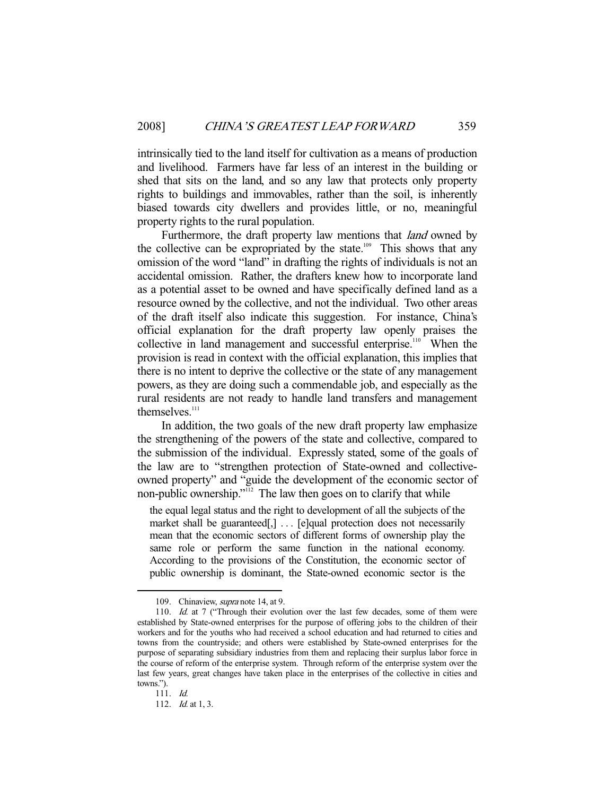intrinsically tied to the land itself for cultivation as a means of production and livelihood. Farmers have far less of an interest in the building or shed that sits on the land, and so any law that protects only property rights to buildings and immovables, rather than the soil, is inherently biased towards city dwellers and provides little, or no, meaningful property rights to the rural population.

Furthermore, the draft property law mentions that *land* owned by the collective can be expropriated by the state.<sup>109</sup> This shows that any omission of the word "land" in drafting the rights of individuals is not an accidental omission. Rather, the drafters knew how to incorporate land as a potential asset to be owned and have specifically defined land as a resource owned by the collective, and not the individual. Two other areas of the draft itself also indicate this suggestion. For instance, China's official explanation for the draft property law openly praises the collective in land management and successful enterprise.<sup>110</sup> When the provision is read in context with the official explanation, this implies that there is no intent to deprive the collective or the state of any management powers, as they are doing such a commendable job, and especially as the rural residents are not ready to handle land transfers and management themselves.<sup>111</sup>

 In addition, the two goals of the new draft property law emphasize the strengthening of the powers of the state and collective, compared to the submission of the individual. Expressly stated, some of the goals of the law are to "strengthen protection of State-owned and collectiveowned property" and "guide the development of the economic sector of non-public ownership."112 The law then goes on to clarify that while

the equal legal status and the right to development of all the subjects of the market shall be guaranteed[,] ... [e]qual protection does not necessarily mean that the economic sectors of different forms of ownership play the same role or perform the same function in the national economy. According to the provisions of the Constitution, the economic sector of public ownership is dominant, the State-owned economic sector is the

<sup>109.</sup> Chinaview, *supra* note 14, at 9.

<sup>110.</sup> Id. at 7 ("Through their evolution over the last few decades, some of them were established by State-owned enterprises for the purpose of offering jobs to the children of their workers and for the youths who had received a school education and had returned to cities and towns from the countryside; and others were established by State-owned enterprises for the purpose of separating subsidiary industries from them and replacing their surplus labor force in the course of reform of the enterprise system. Through reform of the enterprise system over the last few years, great changes have taken place in the enterprises of the collective in cities and towns.").

 <sup>111.</sup> Id.

<sup>112.</sup> *Id.* at 1, 3.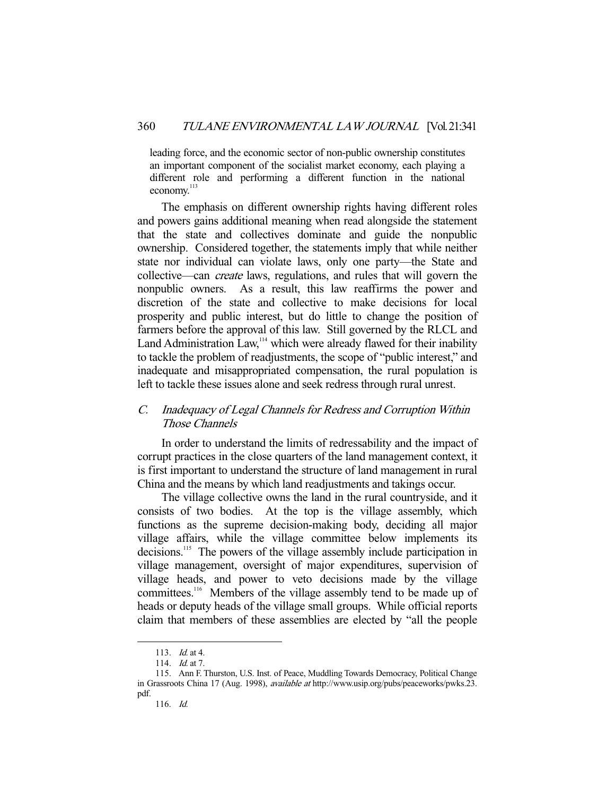leading force, and the economic sector of non-public ownership constitutes an important component of the socialist market economy, each playing a different role and performing a different function in the national economy.<sup>113</sup>

 The emphasis on different ownership rights having different roles and powers gains additional meaning when read alongside the statement that the state and collectives dominate and guide the nonpublic ownership. Considered together, the statements imply that while neither state nor individual can violate laws, only one party—the State and collective—can create laws, regulations, and rules that will govern the nonpublic owners. As a result, this law reaffirms the power and discretion of the state and collective to make decisions for local prosperity and public interest, but do little to change the position of farmers before the approval of this law. Still governed by the RLCL and Land Administration Law,<sup>114</sup> which were already flawed for their inability to tackle the problem of readjustments, the scope of "public interest," and inadequate and misappropriated compensation, the rural population is left to tackle these issues alone and seek redress through rural unrest.

# C. Inadequacy of Legal Channels for Redress and Corruption Within Those Channels

 In order to understand the limits of redressability and the impact of corrupt practices in the close quarters of the land management context, it is first important to understand the structure of land management in rural China and the means by which land readjustments and takings occur.

 The village collective owns the land in the rural countryside, and it consists of two bodies. At the top is the village assembly, which functions as the supreme decision-making body, deciding all major village affairs, while the village committee below implements its decisions.<sup>115</sup> The powers of the village assembly include participation in village management, oversight of major expenditures, supervision of village heads, and power to veto decisions made by the village committees.<sup>116</sup> Members of the village assembly tend to be made up of heads or deputy heads of the village small groups. While official reports claim that members of these assemblies are elected by "all the people

 <sup>113.</sup> Id. at 4.

<sup>114.</sup> *Id.* at 7.

 <sup>115.</sup> Ann F. Thurston, U.S. Inst. of Peace, Muddling Towards Democracy, Political Change in Grassroots China 17 (Aug. 1998), available at http://www.usip.org/pubs/peaceworks/pwks.23. pdf.

 <sup>116.</sup> Id.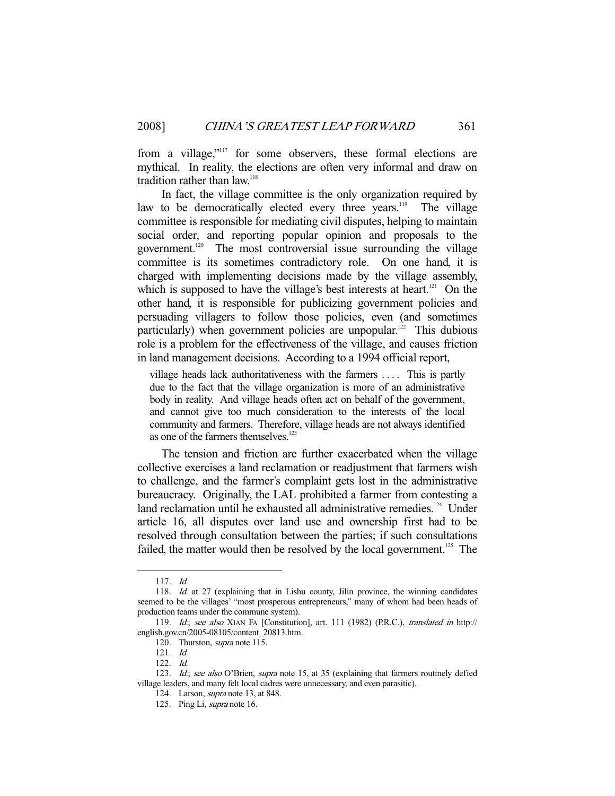from a village,"117 for some observers, these formal elections are mythical. In reality, the elections are often very informal and draw on tradition rather than  $law$ <sup>118</sup>

 In fact, the village committee is the only organization required by law to be democratically elected every three years.<sup>119</sup> The village committee is responsible for mediating civil disputes, helping to maintain social order, and reporting popular opinion and proposals to the government.<sup>120</sup> The most controversial issue surrounding the village committee is its sometimes contradictory role. On one hand, it is charged with implementing decisions made by the village assembly, which is supposed to have the village's best interests at heart.<sup>121</sup> On the other hand, it is responsible for publicizing government policies and persuading villagers to follow those policies, even (and sometimes particularly) when government policies are unpopular.<sup>122</sup> This dubious role is a problem for the effectiveness of the village, and causes friction in land management decisions. According to a 1994 official report,

village heads lack authoritativeness with the farmers . . . . This is partly due to the fact that the village organization is more of an administrative body in reality. And village heads often act on behalf of the government, and cannot give too much consideration to the interests of the local community and farmers. Therefore, village heads are not always identified as one of the farmers themselves.<sup>123</sup>

 The tension and friction are further exacerbated when the village collective exercises a land reclamation or readjustment that farmers wish to challenge, and the farmer's complaint gets lost in the administrative bureaucracy. Originally, the LAL prohibited a farmer from contesting a land reclamation until he exhausted all administrative remedies.<sup>124</sup> Under article 16, all disputes over land use and ownership first had to be resolved through consultation between the parties; if such consultations failed, the matter would then be resolved by the local government.<sup>125</sup> The

 <sup>117.</sup> Id.

<sup>118.</sup> Id. at 27 (explaining that in Lishu county, Jilin province, the winning candidates seemed to be the villages' "most prosperous entrepreneurs," many of whom had been heads of production teams under the commune system).

<sup>119.</sup> Id.; see also XIAN FA [Constitution], art. 111 (1982) (P.R.C.), translated in http:// english.gov.cn/2005-08105/content\_20813.htm.

<sup>120.</sup> Thurston, *supra* note 115.

 <sup>121.</sup> Id.

 <sup>122.</sup> Id.

<sup>123.</sup> Id.; see also O'Brien, supra note 15, at 35 (explaining that farmers routinely defied village leaders, and many felt local cadres were unnecessary, and even parasitic).

 <sup>124.</sup> Larson, supra note 13, at 848.

 <sup>125.</sup> Ping Li, supra note 16.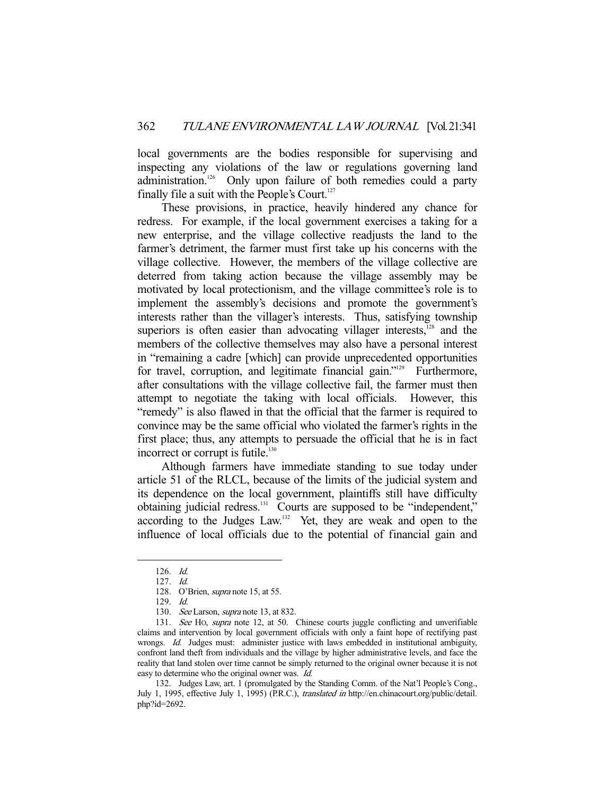local governments are the bodies responsible for supervising and inspecting any violations of the law or regulations governing land administration.<sup>126</sup> Only upon failure of both remedies could a party finally file a suit with the People's Court.<sup>127</sup>

 These provisions, in practice, heavily hindered any chance for redress. For example, if the local government exercises a taking for a new enterprise, and the village collective readjusts the land to the farmer's detriment, the farmer must first take up his concerns with the village collective. However, the members of the village collective are deterred from taking action because the village assembly may be motivated by local protectionism, and the village committee's role is to implement the assembly's decisions and promote the government's interests rather than the villager's interests. Thus, satisfying township superiors is often easier than advocating villager interests, $128$  and the members of the collective themselves may also have a personal interest in "remaining a cadre [which] can provide unprecedented opportunities for travel, corruption, and legitimate financial gain."<sup>129</sup> Furthermore, after consultations with the village collective fail, the farmer must then attempt to negotiate the taking with local officials. However, this "remedy" is also flawed in that the official that the farmer is required to convince may be the same official who violated the farmer's rights in the first place; thus, any attempts to persuade the official that he is in fact incorrect or corrupt is futile.<sup>130</sup>

 Although farmers have immediate standing to sue today under article 51 of the RLCL, because of the limits of the judicial system and its dependence on the local government, plaintiffs still have difficulty obtaining judicial redress.<sup>131</sup> Courts are supposed to be "independent," according to the Judges Law.<sup>132</sup> Yet, they are weak and open to the influence of local officials due to the potential of financial gain and

-

 132. Judges Law, art. 1 (promulgated by the Standing Comm. of the Nat'l People's Cong., July 1, 1995, effective July 1, 1995) (P.R.C.), translated in http://en.chinacourt.org/public/detail. php?id=2692.

 <sup>126.</sup> Id.

 <sup>127.</sup> Id.

<sup>128.</sup> O'Brien, *supra* note 15, at 55.

 <sup>129.</sup> Id.

<sup>130.</sup> See Larson, *supra* note 13, at 832.

 <sup>131.</sup> See HO, supra note 12, at 50. Chinese courts juggle conflicting and unverifiable claims and intervention by local government officials with only a faint hope of rectifying past wrongs. Id. Judges must: administer justice with laws embedded in institutional ambiguity, confront land theft from individuals and the village by higher administrative levels, and face the reality that land stolen over time cannot be simply returned to the original owner because it is not easy to determine who the original owner was. Id.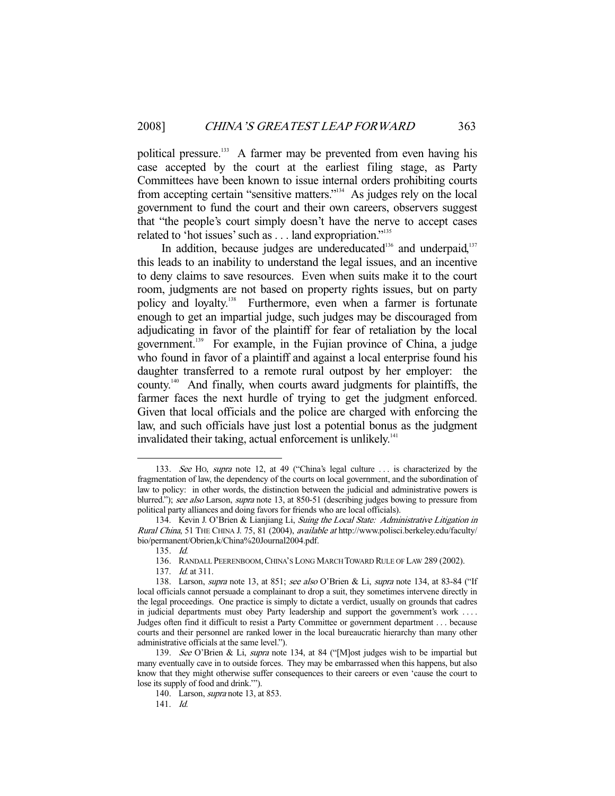political pressure.<sup>133</sup> A farmer may be prevented from even having his case accepted by the court at the earliest filing stage, as Party Committees have been known to issue internal orders prohibiting courts from accepting certain "sensitive matters."134 As judges rely on the local government to fund the court and their own careers, observers suggest that "the people's court simply doesn't have the nerve to accept cases related to 'hot issues' such as . . . land expropriation."<sup>135</sup>

In addition, because judges are undereducated<sup>136</sup> and underpaid, $137$ this leads to an inability to understand the legal issues, and an incentive to deny claims to save resources. Even when suits make it to the court room, judgments are not based on property rights issues, but on party policy and loyalty.<sup>138</sup> Furthermore, even when a farmer is fortunate enough to get an impartial judge, such judges may be discouraged from adjudicating in favor of the plaintiff for fear of retaliation by the local government.<sup>139</sup> For example, in the Fujian province of China, a judge who found in favor of a plaintiff and against a local enterprise found his daughter transferred to a remote rural outpost by her employer: the county.140 And finally, when courts award judgments for plaintiffs, the farmer faces the next hurdle of trying to get the judgment enforced. Given that local officials and the police are charged with enforcing the law, and such officials have just lost a potential bonus as the judgment invalidated their taking, actual enforcement is unlikely.<sup>141</sup>

<sup>133.</sup> See Ho, supra note 12, at 49 ("China's legal culture ... is characterized by the fragmentation of law, the dependency of the courts on local government, and the subordination of law to policy: in other words, the distinction between the judicial and administrative powers is blurred."); see also Larson, supra note 13, at 850-51 (describing judges bowing to pressure from political party alliances and doing favors for friends who are local officials).

<sup>134.</sup> Kevin J. O'Brien & Lianjiang Li, Suing the Local State: Administrative Litigation in Rural China, 51 THE CHINA J. 75, 81 (2004), available at http://www.polisci.berkeley.edu/faculty/ bio/permanent/Obrien,k/China%20Journal2004.pdf.

 <sup>135.</sup> Id.

 <sup>136.</sup> RANDALL PEERENBOOM,CHINA'S LONG MARCH TOWARD RULE OF LAW 289 (2002).

 <sup>137.</sup> Id. at 311.

<sup>138.</sup> Larson, *supra* note 13, at 851; see also O'Brien & Li, *supra* note 134, at 83-84 ("If local officials cannot persuade a complainant to drop a suit, they sometimes intervene directly in the legal proceedings. One practice is simply to dictate a verdict, usually on grounds that cadres in judicial departments must obey Party leadership and support the government's work . . . . Judges often find it difficult to resist a Party Committee or government department . . . because courts and their personnel are ranked lower in the local bureaucratic hierarchy than many other administrative officials at the same level.").

 <sup>139.</sup> See O'Brien & Li, supra note 134, at 84 ("[M]ost judges wish to be impartial but many eventually cave in to outside forces. They may be embarrassed when this happens, but also know that they might otherwise suffer consequences to their careers or even 'cause the court to lose its supply of food and drink.'").

 <sup>140.</sup> Larson, supra note 13, at 853.

 <sup>141.</sup> Id.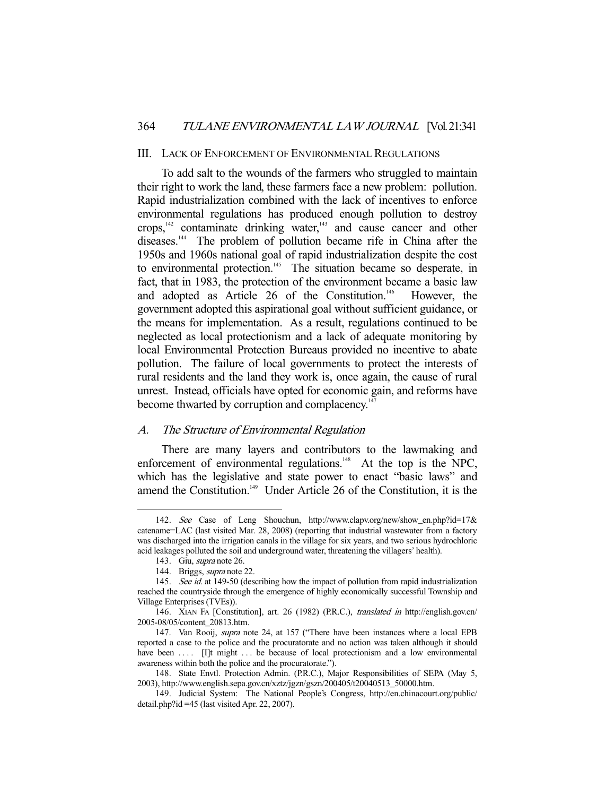#### III. LACK OF ENFORCEMENT OF ENVIRONMENTAL REGULATIONS

 To add salt to the wounds of the farmers who struggled to maintain their right to work the land, these farmers face a new problem: pollution. Rapid industrialization combined with the lack of incentives to enforce environmental regulations has produced enough pollution to destroy crops,<sup>142</sup> contaminate drinking water,<sup>143</sup> and cause cancer and other diseases.<sup>144</sup> The problem of pollution became rife in China after the 1950s and 1960s national goal of rapid industrialization despite the cost to environmental protection.<sup>145</sup> The situation became so desperate, in fact, that in 1983, the protection of the environment became a basic law and adopted as Article 26 of the Constitution.<sup>146</sup> However, the government adopted this aspirational goal without sufficient guidance, or the means for implementation. As a result, regulations continued to be neglected as local protectionism and a lack of adequate monitoring by local Environmental Protection Bureaus provided no incentive to abate pollution. The failure of local governments to protect the interests of rural residents and the land they work is, once again, the cause of rural unrest. Instead, officials have opted for economic gain, and reforms have become thwarted by corruption and complacency.<sup>14</sup>

## A. The Structure of Environmental Regulation

 There are many layers and contributors to the lawmaking and enforcement of environmental regulations.<sup>148</sup> At the top is the NPC, which has the legislative and state power to enact "basic laws" and amend the Constitution.<sup>149</sup> Under Article 26 of the Constitution, it is the

 <sup>142.</sup> See Case of Leng Shouchun, http://www.clapv.org/new/show\_en.php?id=17& catename=LAC (last visited Mar. 28, 2008) (reporting that industrial wastewater from a factory was discharged into the irrigation canals in the village for six years, and two serious hydrochloric acid leakages polluted the soil and underground water, threatening the villagers' health).

 <sup>143.</sup> Giu, supra note 26.

 <sup>144.</sup> Briggs, supra note 22.

<sup>145.</sup> See id. at 149-50 (describing how the impact of pollution from rapid industrialization reached the countryside through the emergence of highly economically successful Township and Village Enterprises (TVEs)).

 <sup>146.</sup> XIAN FA [Constitution], art. 26 (1982) (P.R.C.), translated in http://english.gov.cn/ 2005-08/05/content\_20813.htm.

<sup>147.</sup> Van Rooij, *supra* note 24, at 157 ("There have been instances where a local EPB reported a case to the police and the procuratorate and no action was taken although it should have been .... [I]t might ... be because of local protectionism and a low environmental awareness within both the police and the procuratorate.").

 <sup>148.</sup> State Envtl. Protection Admin. (P.R.C.), Major Responsibilities of SEPA (May 5, 2003), http://www.english.sepa.gov.cn/xztz/jgzn/gszn/200405/t20040513\_50000.htm.

 <sup>149.</sup> Judicial System: The National People's Congress, http://en.chinacourt.org/public/ detail.php?id =45 (last visited Apr. 22, 2007).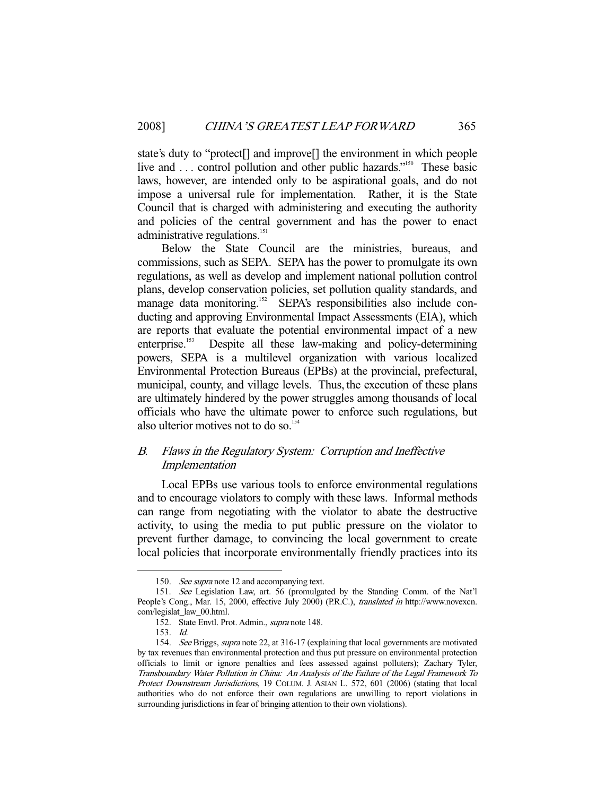state's duty to "protect[] and improve[] the environment in which people live and ... control pollution and other public hazards."<sup>150</sup> These basic laws, however, are intended only to be aspirational goals, and do not impose a universal rule for implementation. Rather, it is the State Council that is charged with administering and executing the authority and policies of the central government and has the power to enact administrative regulations.<sup>151</sup>

 Below the State Council are the ministries, bureaus, and commissions, such as SEPA. SEPA has the power to promulgate its own regulations, as well as develop and implement national pollution control plans, develop conservation policies, set pollution quality standards, and manage data monitoring.<sup>152</sup> SEPA's responsibilities also include conducting and approving Environmental Impact Assessments (EIA), which are reports that evaluate the potential environmental impact of a new enterprise.<sup>153</sup> Despite all these law-making and policy-determining powers, SEPA is a multilevel organization with various localized Environmental Protection Bureaus (EPBs) at the provincial, prefectural, municipal, county, and village levels. Thus, the execution of these plans are ultimately hindered by the power struggles among thousands of local officials who have the ultimate power to enforce such regulations, but also ulterior motives not to do so.<sup>154</sup>

# B. Flaws in the Regulatory System: Corruption and Ineffective Implementation

 Local EPBs use various tools to enforce environmental regulations and to encourage violators to comply with these laws. Informal methods can range from negotiating with the violator to abate the destructive activity, to using the media to put public pressure on the violator to prevent further damage, to convincing the local government to create local policies that incorporate environmentally friendly practices into its

<sup>150.</sup> See supra note 12 and accompanying text.

 <sup>151.</sup> See Legislation Law, art. 56 (promulgated by the Standing Comm. of the Nat'l People's Cong., Mar. 15, 2000, effective July 2000) (P.R.C.), translated in http://www.novexcn. com/legislat\_law\_00.html.

 <sup>152.</sup> State Envtl. Prot. Admin., supra note 148.

 <sup>153.</sup> Id.

 <sup>154.</sup> See Briggs, supra note 22, at 316-17 (explaining that local governments are motivated by tax revenues than environmental protection and thus put pressure on environmental protection officials to limit or ignore penalties and fees assessed against polluters); Zachary Tyler, Transboundary Water Pollution in China: An Analysis of the Failure of the Legal Framework To Protect Downstream Jurisdictions, 19 COLUM. J. ASIAN L. 572, 601 (2006) (stating that local authorities who do not enforce their own regulations are unwilling to report violations in surrounding jurisdictions in fear of bringing attention to their own violations).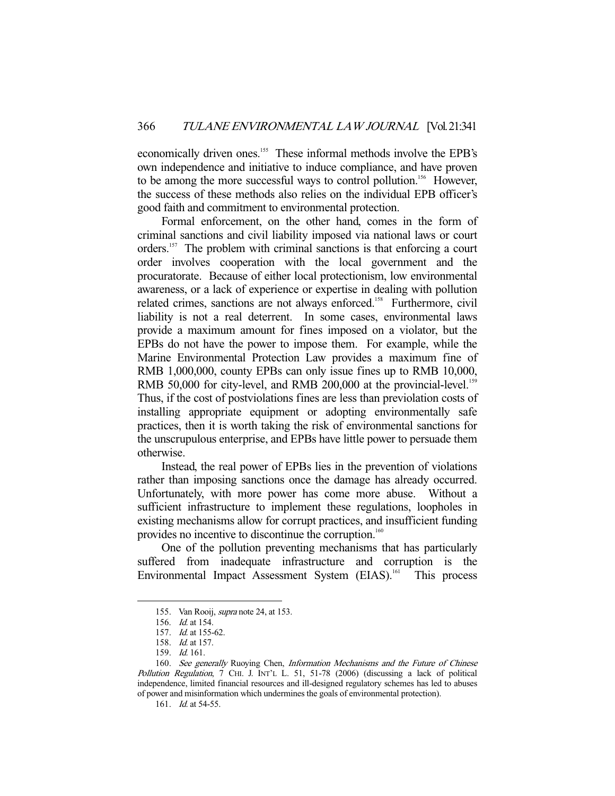economically driven ones.<sup>155</sup> These informal methods involve the EPB's own independence and initiative to induce compliance, and have proven to be among the more successful ways to control pollution.<sup>156</sup> However, the success of these methods also relies on the individual EPB officer's good faith and commitment to environmental protection.

 Formal enforcement, on the other hand, comes in the form of criminal sanctions and civil liability imposed via national laws or court orders.157 The problem with criminal sanctions is that enforcing a court order involves cooperation with the local government and the procuratorate. Because of either local protectionism, low environmental awareness, or a lack of experience or expertise in dealing with pollution related crimes, sanctions are not always enforced.<sup>158</sup> Furthermore, civil liability is not a real deterrent. In some cases, environmental laws provide a maximum amount for fines imposed on a violator, but the EPBs do not have the power to impose them. For example, while the Marine Environmental Protection Law provides a maximum fine of RMB 1,000,000, county EPBs can only issue fines up to RMB 10,000, RMB 50,000 for city-level, and RMB 200,000 at the provincial-level.<sup>159</sup> Thus, if the cost of postviolations fines are less than previolation costs of installing appropriate equipment or adopting environmentally safe practices, then it is worth taking the risk of environmental sanctions for the unscrupulous enterprise, and EPBs have little power to persuade them otherwise.

 Instead, the real power of EPBs lies in the prevention of violations rather than imposing sanctions once the damage has already occurred. Unfortunately, with more power has come more abuse. Without a sufficient infrastructure to implement these regulations, loopholes in existing mechanisms allow for corrupt practices, and insufficient funding provides no incentive to discontinue the corruption.<sup>160</sup>

 One of the pollution preventing mechanisms that has particularly suffered from inadequate infrastructure and corruption is the Environmental Impact Assessment System (EIAS).<sup>161</sup> This process

<sup>155.</sup> Van Rooij, *supra* note 24, at 153.

 <sup>156.</sup> Id. at 154.

 <sup>157.</sup> Id. at 155-62.

 <sup>158.</sup> Id. at 157.

 <sup>159.</sup> Id. 161.

<sup>160.</sup> See generally Ruoying Chen, Information Mechanisms and the Future of Chinese Pollution Regulation, 7 CHI. J. INT'L L. 51, 51-78 (2006) (discussing a lack of political independence, limited financial resources and ill-designed regulatory schemes has led to abuses of power and misinformation which undermines the goals of environmental protection).

<sup>161.</sup> *Id.* at 54-55.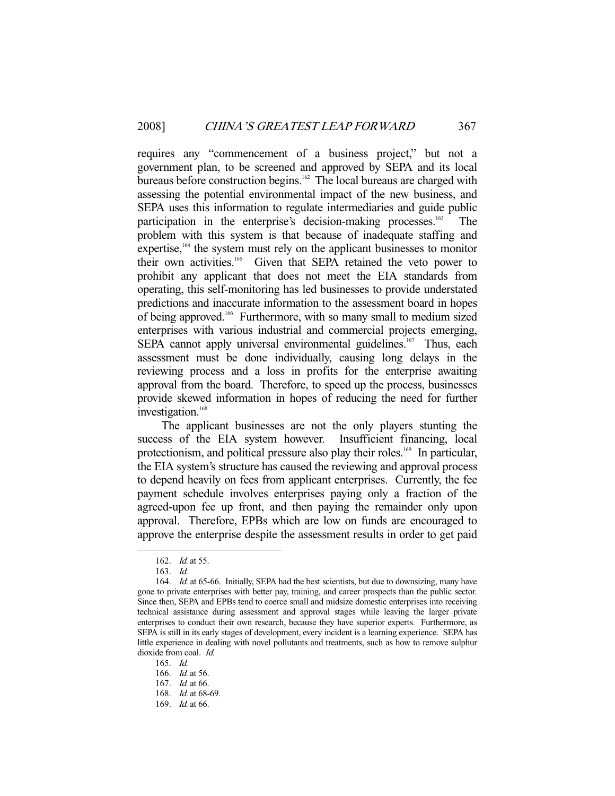requires any "commencement of a business project," but not a government plan, to be screened and approved by SEPA and its local bureaus before construction begins.<sup>162</sup> The local bureaus are charged with assessing the potential environmental impact of the new business, and SEPA uses this information to regulate intermediaries and guide public participation in the enterprise's decision-making processes.<sup>163</sup> The problem with this system is that because of inadequate staffing and expertise, $164$  the system must rely on the applicant businesses to monitor their own activities.165 Given that SEPA retained the veto power to prohibit any applicant that does not meet the EIA standards from operating, this self-monitoring has led businesses to provide understated predictions and inaccurate information to the assessment board in hopes of being approved.166 Furthermore, with so many small to medium sized enterprises with various industrial and commercial projects emerging, SEPA cannot apply universal environmental guidelines.<sup>167</sup> Thus, each assessment must be done individually, causing long delays in the reviewing process and a loss in profits for the enterprise awaiting approval from the board. Therefore, to speed up the process, businesses provide skewed information in hopes of reducing the need for further investigation.<sup>168</sup>

 The applicant businesses are not the only players stunting the success of the EIA system however. Insufficient financing, local protectionism, and political pressure also play their roles.<sup>169</sup> In particular, the EIA system's structure has caused the reviewing and approval process to depend heavily on fees from applicant enterprises. Currently, the fee payment schedule involves enterprises paying only a fraction of the agreed-upon fee up front, and then paying the remainder only upon approval. Therefore, EPBs which are low on funds are encouraged to approve the enterprise despite the assessment results in order to get paid

<sup>162.</sup> *Id.* at 55.

 <sup>163.</sup> Id.

<sup>164.</sup> *Id.* at 65-66. Initially, SEPA had the best scientists, but due to downsizing, many have gone to private enterprises with better pay, training, and career prospects than the public sector. Since then, SEPA and EPBs tend to coerce small and midsize domestic enterprises into receiving technical assistance during assessment and approval stages while leaving the larger private enterprises to conduct their own research, because they have superior experts. Furthermore, as SEPA is still in its early stages of development, every incident is a learning experience. SEPA has little experience in dealing with novel pollutants and treatments, such as how to remove sulphur dioxide from coal. Id.

 <sup>165.</sup> Id.

 <sup>166.</sup> Id. at 56.

 <sup>167.</sup> Id. at 66.

<sup>168.</sup> *Id.* at 68-69.

 <sup>169.</sup> Id. at 66.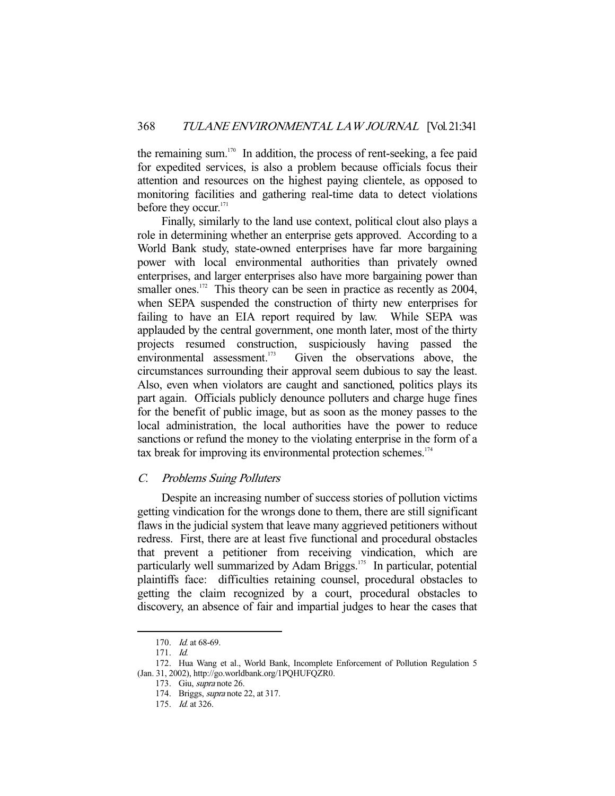the remaining sum.<sup>170</sup> In addition, the process of rent-seeking, a fee paid for expedited services, is also a problem because officials focus their attention and resources on the highest paying clientele, as opposed to monitoring facilities and gathering real-time data to detect violations before they occur.<sup>171</sup>

 Finally, similarly to the land use context, political clout also plays a role in determining whether an enterprise gets approved. According to a World Bank study, state-owned enterprises have far more bargaining power with local environmental authorities than privately owned enterprises, and larger enterprises also have more bargaining power than smaller ones.<sup>172</sup> This theory can be seen in practice as recently as 2004, when SEPA suspended the construction of thirty new enterprises for failing to have an EIA report required by law. While SEPA was applauded by the central government, one month later, most of the thirty projects resumed construction, suspiciously having passed the environmental assessment.<sup>173</sup> Given the observations above. the Given the observations above, the circumstances surrounding their approval seem dubious to say the least. Also, even when violators are caught and sanctioned, politics plays its part again. Officials publicly denounce polluters and charge huge fines for the benefit of public image, but as soon as the money passes to the local administration, the local authorities have the power to reduce sanctions or refund the money to the violating enterprise in the form of a tax break for improving its environmental protection schemes. $174$ 

## C. Problems Suing Polluters

 Despite an increasing number of success stories of pollution victims getting vindication for the wrongs done to them, there are still significant flaws in the judicial system that leave many aggrieved petitioners without redress. First, there are at least five functional and procedural obstacles that prevent a petitioner from receiving vindication, which are particularly well summarized by Adam Briggs.<sup>175</sup> In particular, potential plaintiffs face: difficulties retaining counsel, procedural obstacles to getting the claim recognized by a court, procedural obstacles to discovery, an absence of fair and impartial judges to hear the cases that

 <sup>170.</sup> Id. at 68-69.

 <sup>171.</sup> Id.

 <sup>172.</sup> Hua Wang et al., World Bank, Incomplete Enforcement of Pollution Regulation 5 (Jan. 31, 2002), http://go.worldbank.org/1PQHUFQZR0.

 <sup>173.</sup> Giu, supra note 26.

 <sup>174.</sup> Briggs, supra note 22, at 317.

 <sup>175.</sup> Id. at 326.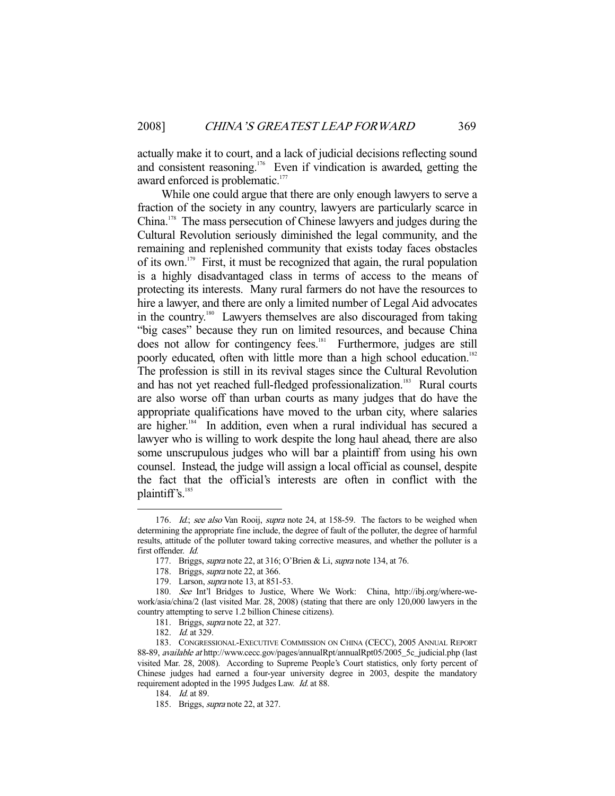actually make it to court, and a lack of judicial decisions reflecting sound and consistent reasoning.176 Even if vindication is awarded, getting the award enforced is problematic.<sup>177</sup>

 While one could argue that there are only enough lawyers to serve a fraction of the society in any country, lawyers are particularly scarce in China.178 The mass persecution of Chinese lawyers and judges during the Cultural Revolution seriously diminished the legal community, and the remaining and replenished community that exists today faces obstacles of its own.179 First, it must be recognized that again, the rural population is a highly disadvantaged class in terms of access to the means of protecting its interests. Many rural farmers do not have the resources to hire a lawyer, and there are only a limited number of Legal Aid advocates in the country.180 Lawyers themselves are also discouraged from taking "big cases" because they run on limited resources, and because China does not allow for contingency fees.181 Furthermore, judges are still poorly educated, often with little more than a high school education.<sup>182</sup> The profession is still in its revival stages since the Cultural Revolution and has not yet reached full-fledged professionalization.<sup>183</sup> Rural courts are also worse off than urban courts as many judges that do have the appropriate qualifications have moved to the urban city, where salaries are higher.<sup>184</sup> In addition, even when a rural individual has secured a lawyer who is willing to work despite the long haul ahead, there are also some unscrupulous judges who will bar a plaintiff from using his own counsel. Instead, the judge will assign a local official as counsel, despite the fact that the official's interests are often in conflict with the plaintiff's. $185$ 

<sup>176.</sup> Id.; see also Van Rooij, supra note 24, at 158-59. The factors to be weighed when determining the appropriate fine include, the degree of fault of the polluter, the degree of harmful results, attitude of the polluter toward taking corrective measures, and whether the polluter is a first offender. Id.

 <sup>177.</sup> Briggs, supra note 22, at 316; O'Brien & Li, supra note 134, at 76.

<sup>178.</sup> Briggs, *supra* note 22, at 366.

<sup>179.</sup> Larson, *supra* note 13, at 851-53.

 <sup>180.</sup> See Int'l Bridges to Justice, Where We Work: China, http://ibj.org/where-wework/asia/china/2 (last visited Mar. 28, 2008) (stating that there are only 120,000 lawyers in the country attempting to serve 1.2 billion Chinese citizens).

 <sup>181.</sup> Briggs, supra note 22, at 327.

<sup>182.</sup> *Id.* at 329.

 <sup>183.</sup> CONGRESSIONAL-EXECUTIVE COMMISSION ON CHINA (CECC), 2005 ANNUAL REPORT 88-89, available at http://www.cecc.gov/pages/annualRpt0annualRpt05/2005\_5c\_judicial.php (last visited Mar. 28, 2008). According to Supreme People's Court statistics, only forty percent of Chinese judges had earned a four-year university degree in 2003, despite the mandatory requirement adopted in the 1995 Judges Law. Id. at 88.

 <sup>184.</sup> Id. at 89.

 <sup>185.</sup> Briggs, supra note 22, at 327.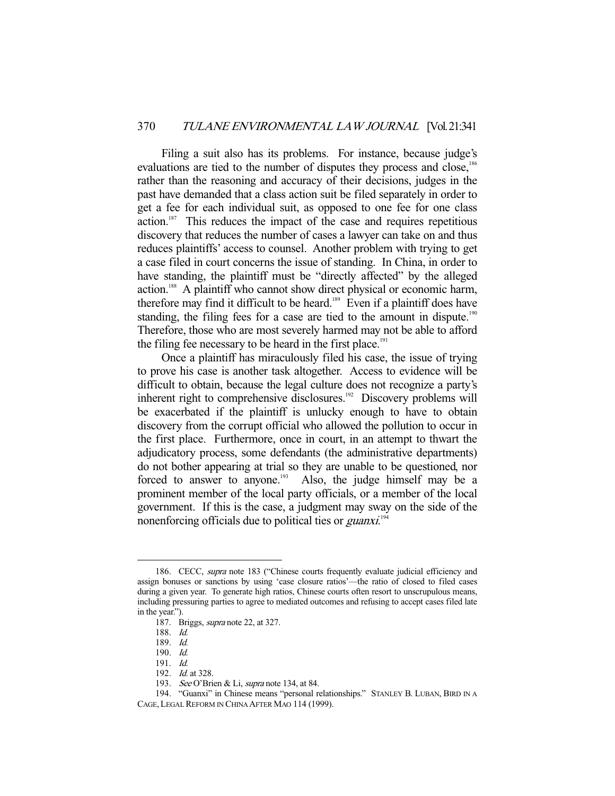Filing a suit also has its problems. For instance, because judge's evaluations are tied to the number of disputes they process and close,<sup>186</sup> rather than the reasoning and accuracy of their decisions, judges in the past have demanded that a class action suit be filed separately in order to get a fee for each individual suit, as opposed to one fee for one class  $\arctan$ <sup>187</sup> This reduces the impact of the case and requires repetitious discovery that reduces the number of cases a lawyer can take on and thus reduces plaintiffs' access to counsel. Another problem with trying to get a case filed in court concerns the issue of standing. In China, in order to have standing, the plaintiff must be "directly affected" by the alleged action.188 A plaintiff who cannot show direct physical or economic harm, therefore may find it difficult to be heard.<sup>189</sup> Even if a plaintiff does have standing, the filing fees for a case are tied to the amount in dispute.<sup>190</sup> Therefore, those who are most severely harmed may not be able to afford the filing fee necessary to be heard in the first place.<sup>191</sup>

 Once a plaintiff has miraculously filed his case, the issue of trying to prove his case is another task altogether. Access to evidence will be difficult to obtain, because the legal culture does not recognize a party's inherent right to comprehensive disclosures.<sup>192</sup> Discovery problems will be exacerbated if the plaintiff is unlucky enough to have to obtain discovery from the corrupt official who allowed the pollution to occur in the first place. Furthermore, once in court, in an attempt to thwart the adjudicatory process, some defendants (the administrative departments) do not bother appearing at trial so they are unable to be questioned, nor forced to answer to anyone.<sup>193</sup> Also, the judge himself may be a prominent member of the local party officials, or a member of the local government. If this is the case, a judgment may sway on the side of the nonenforcing officials due to political ties or *guanxi*.<sup>194</sup>

<sup>186.</sup> CECC, supra note 183 ("Chinese courts frequently evaluate judicial efficiency and assign bonuses or sanctions by using 'case closure ratios'—the ratio of closed to filed cases during a given year. To generate high ratios, Chinese courts often resort to unscrupulous means, including pressuring parties to agree to mediated outcomes and refusing to accept cases filed late in the year.").

 <sup>187.</sup> Briggs, supra note 22, at 327.

 <sup>188.</sup> Id.

 <sup>189.</sup> Id.

 <sup>190.</sup> Id.

 <sup>191.</sup> Id.

<sup>192.</sup> *Id.* at 328.

<sup>193.</sup> See O'Brien & Li, supra note 134, at 84.

 <sup>194. &</sup>quot;Guanxi" in Chinese means "personal relationships." STANLEY B. LUBAN, BIRD IN A CAGE, LEGAL REFORM IN CHINA AFTER MAO 114 (1999).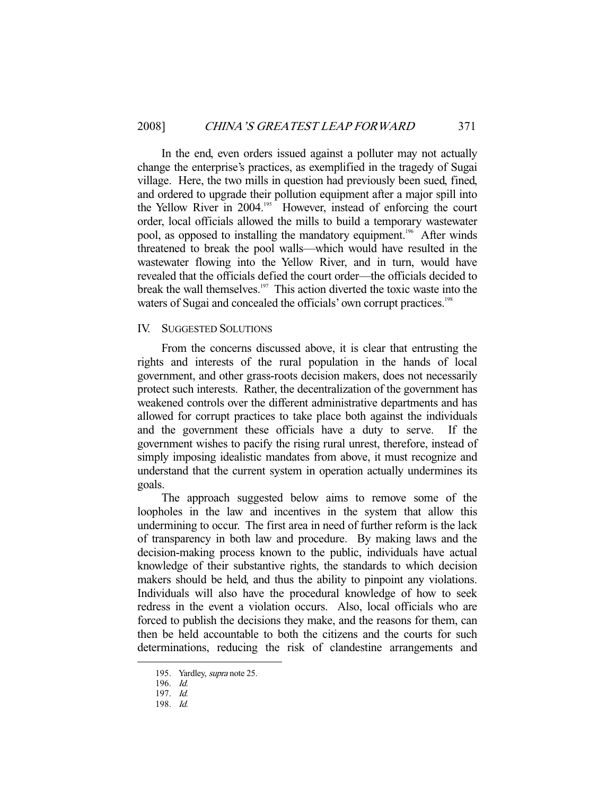In the end, even orders issued against a polluter may not actually change the enterprise's practices, as exemplified in the tragedy of Sugai village. Here, the two mills in question had previously been sued, fined, and ordered to upgrade their pollution equipment after a major spill into the Yellow River in 2004.<sup>195</sup> However, instead of enforcing the court order, local officials allowed the mills to build a temporary wastewater pool, as opposed to installing the mandatory equipment.<sup>196</sup> After winds threatened to break the pool walls—which would have resulted in the wastewater flowing into the Yellow River, and in turn, would have revealed that the officials defied the court order—the officials decided to break the wall themselves.<sup>197</sup> This action diverted the toxic waste into the waters of Sugai and concealed the officials' own corrupt practices.<sup>198</sup>

## IV. SUGGESTED SOLUTIONS

 From the concerns discussed above, it is clear that entrusting the rights and interests of the rural population in the hands of local government, and other grass-roots decision makers, does not necessarily protect such interests. Rather, the decentralization of the government has weakened controls over the different administrative departments and has allowed for corrupt practices to take place both against the individuals and the government these officials have a duty to serve. If the government wishes to pacify the rising rural unrest, therefore, instead of simply imposing idealistic mandates from above, it must recognize and understand that the current system in operation actually undermines its goals.

 The approach suggested below aims to remove some of the loopholes in the law and incentives in the system that allow this undermining to occur. The first area in need of further reform is the lack of transparency in both law and procedure. By making laws and the decision-making process known to the public, individuals have actual knowledge of their substantive rights, the standards to which decision makers should be held, and thus the ability to pinpoint any violations. Individuals will also have the procedural knowledge of how to seek redress in the event a violation occurs. Also, local officials who are forced to publish the decisions they make, and the reasons for them, can then be held accountable to both the citizens and the courts for such determinations, reducing the risk of clandestine arrangements and

 <sup>195.</sup> Yardley, supra note 25.

 <sup>196.</sup> Id.

 <sup>197.</sup> Id.

 <sup>198.</sup> Id.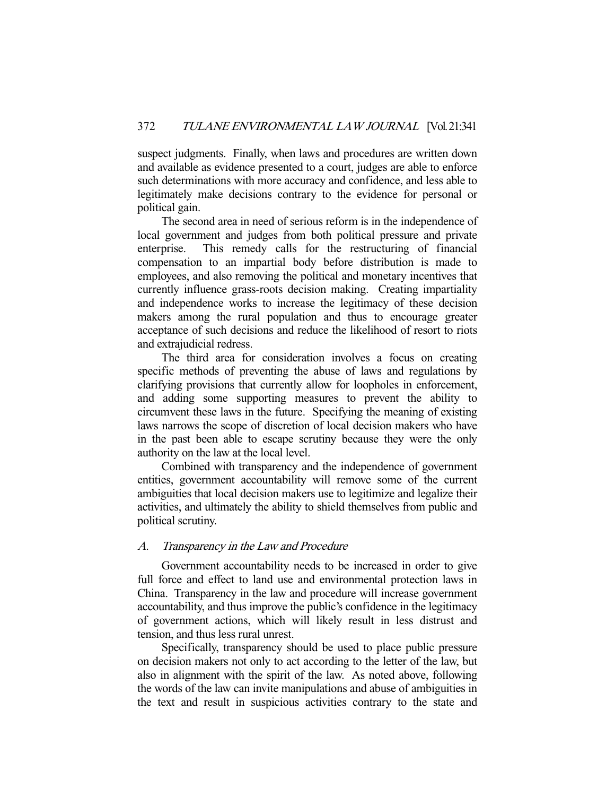suspect judgments. Finally, when laws and procedures are written down and available as evidence presented to a court, judges are able to enforce such determinations with more accuracy and confidence, and less able to legitimately make decisions contrary to the evidence for personal or political gain.

 The second area in need of serious reform is in the independence of local government and judges from both political pressure and private enterprise. This remedy calls for the restructuring of financial compensation to an impartial body before distribution is made to employees, and also removing the political and monetary incentives that currently influence grass-roots decision making. Creating impartiality and independence works to increase the legitimacy of these decision makers among the rural population and thus to encourage greater acceptance of such decisions and reduce the likelihood of resort to riots and extrajudicial redress.

 The third area for consideration involves a focus on creating specific methods of preventing the abuse of laws and regulations by clarifying provisions that currently allow for loopholes in enforcement, and adding some supporting measures to prevent the ability to circumvent these laws in the future. Specifying the meaning of existing laws narrows the scope of discretion of local decision makers who have in the past been able to escape scrutiny because they were the only authority on the law at the local level.

 Combined with transparency and the independence of government entities, government accountability will remove some of the current ambiguities that local decision makers use to legitimize and legalize their activities, and ultimately the ability to shield themselves from public and political scrutiny.

# A. Transparency in the Law and Procedure

 Government accountability needs to be increased in order to give full force and effect to land use and environmental protection laws in China. Transparency in the law and procedure will increase government accountability, and thus improve the public's confidence in the legitimacy of government actions, which will likely result in less distrust and tension, and thus less rural unrest.

 Specifically, transparency should be used to place public pressure on decision makers not only to act according to the letter of the law, but also in alignment with the spirit of the law. As noted above, following the words of the law can invite manipulations and abuse of ambiguities in the text and result in suspicious activities contrary to the state and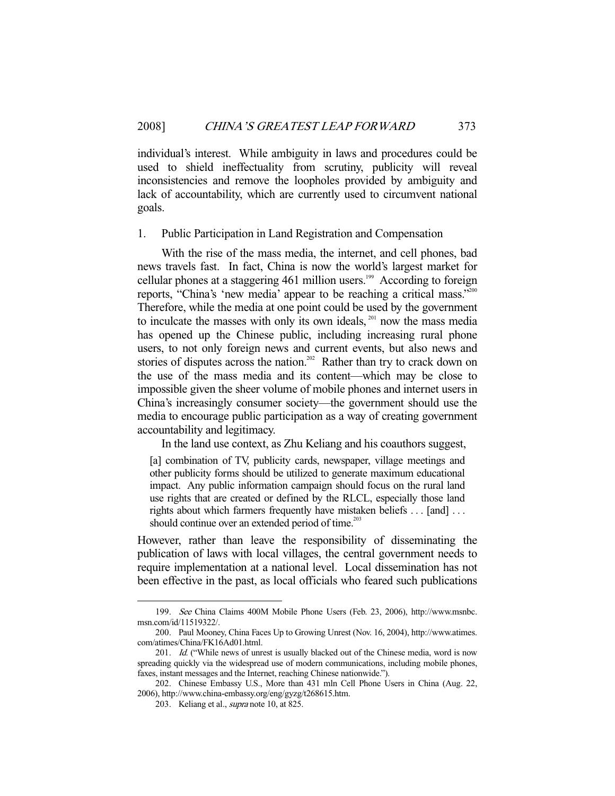individual's interest. While ambiguity in laws and procedures could be used to shield ineffectuality from scrutiny, publicity will reveal inconsistencies and remove the loopholes provided by ambiguity and lack of accountability, which are currently used to circumvent national goals.

#### 1. Public Participation in Land Registration and Compensation

 With the rise of the mass media, the internet, and cell phones, bad news travels fast. In fact, China is now the world's largest market for cellular phones at a staggering 461 million users.<sup>199</sup> According to foreign reports, "China's 'new media' appear to be reaching a critical mass."200 Therefore, while the media at one point could be used by the government to inculcate the masses with only its own ideals,  $201$  now the mass media has opened up the Chinese public, including increasing rural phone users, to not only foreign news and current events, but also news and stories of disputes across the nation.<sup>202</sup> Rather than try to crack down on the use of the mass media and its content—which may be close to impossible given the sheer volume of mobile phones and internet users in China's increasingly consumer society—the government should use the media to encourage public participation as a way of creating government accountability and legitimacy.

In the land use context, as Zhu Keliang and his coauthors suggest,

[a] combination of TV, publicity cards, newspaper, village meetings and other publicity forms should be utilized to generate maximum educational impact. Any public information campaign should focus on the rural land use rights that are created or defined by the RLCL, especially those land rights about which farmers frequently have mistaken beliefs . . . [and] . . . should continue over an extended period of time.<sup>203</sup>

However, rather than leave the responsibility of disseminating the publication of laws with local villages, the central government needs to require implementation at a national level. Local dissemination has not been effective in the past, as local officials who feared such publications

 <sup>199.</sup> See China Claims 400M Mobile Phone Users (Feb. 23, 2006), http://www.msnbc. msn.com/id/11519322/.

 <sup>200.</sup> Paul Mooney, China Faces Up to Growing Unrest (Nov. 16, 2004), http://www.atimes. com/atimes/China/FK16Ad01.html.

<sup>201.</sup> *Id.* ("While news of unrest is usually blacked out of the Chinese media, word is now spreading quickly via the widespread use of modern communications, including mobile phones, faxes, instant messages and the Internet, reaching Chinese nationwide.").

 <sup>202.</sup> Chinese Embassy U.S., More than 431 mln Cell Phone Users in China (Aug. 22, 2006), http://www.china-embassy.org/eng/gyzg/t268615.htm.

<sup>203.</sup> Keliang et al., *supra* note 10, at 825.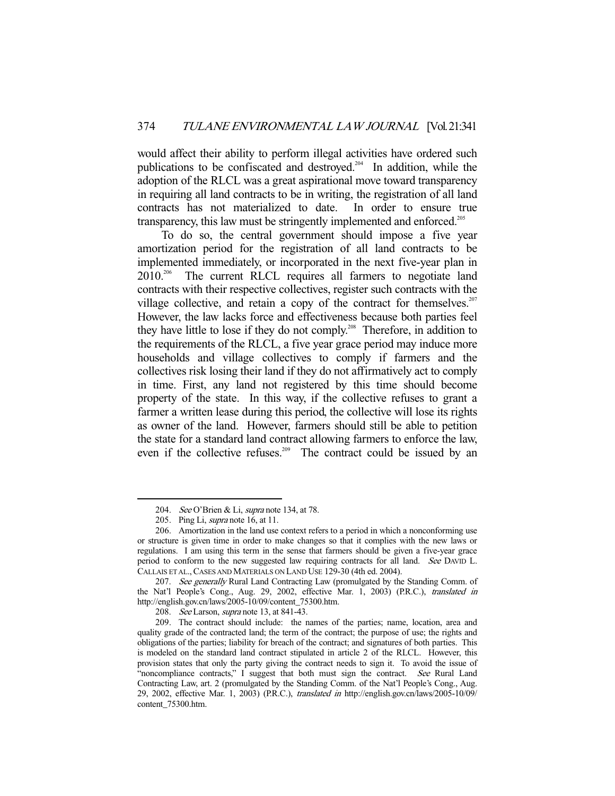would affect their ability to perform illegal activities have ordered such publications to be confiscated and destroyed.204 In addition, while the adoption of the RLCL was a great aspirational move toward transparency in requiring all land contracts to be in writing, the registration of all land contracts has not materialized to date. In order to ensure true transparency, this law must be stringently implemented and enforced.<sup>205</sup>

 To do so, the central government should impose a five year amortization period for the registration of all land contracts to be implemented immediately, or incorporated in the next five-year plan in 2010.206 The current RLCL requires all farmers to negotiate land contracts with their respective collectives, register such contracts with the village collective, and retain a copy of the contract for themselves.<sup>207</sup> However, the law lacks force and effectiveness because both parties feel they have little to lose if they do not comply.<sup>208</sup> Therefore, in addition to the requirements of the RLCL, a five year grace period may induce more households and village collectives to comply if farmers and the collectives risk losing their land if they do not affirmatively act to comply in time. First, any land not registered by this time should become property of the state. In this way, if the collective refuses to grant a farmer a written lease during this period, the collective will lose its rights as owner of the land. However, farmers should still be able to petition the state for a standard land contract allowing farmers to enforce the law, even if the collective refuses.<sup>209</sup> The contract could be issued by an

<sup>204.</sup> See O'Brien & Li, supra note 134, at 78.

<sup>205.</sup> Ping Li, *supra* note 16, at 11.

 <sup>206.</sup> Amortization in the land use context refers to a period in which a nonconforming use or structure is given time in order to make changes so that it complies with the new laws or regulations. I am using this term in the sense that farmers should be given a five-year grace period to conform to the new suggested law requiring contracts for all land. See DAVID L. CALLAIS ET AL.,CASES AND MATERIALS ON LAND USE 129-30 (4th ed. 2004).

<sup>207.</sup> See generally Rural Land Contracting Law (promulgated by the Standing Comm. of the Nat'l People's Cong., Aug. 29, 2002, effective Mar. 1, 2003) (P.R.C.), translated in http://english.gov.cn/laws/2005-10/09/content\_75300.htm.

<sup>208.</sup> See Larson, supra note 13, at 841-43.

 <sup>209.</sup> The contract should include: the names of the parties; name, location, area and quality grade of the contracted land; the term of the contract; the purpose of use; the rights and obligations of the parties; liability for breach of the contract; and signatures of both parties. This is modeled on the standard land contract stipulated in article 2 of the RLCL. However, this provision states that only the party giving the contract needs to sign it. To avoid the issue of "noncompliance contracts," I suggest that both must sign the contract. See Rural Land Contracting Law, art. 2 (promulgated by the Standing Comm. of the Nat'l People's Cong., Aug. 29, 2002, effective Mar. 1, 2003) (P.R.C.), translated in http://english.gov.cn/laws/2005-10/09/ content\_75300.htm.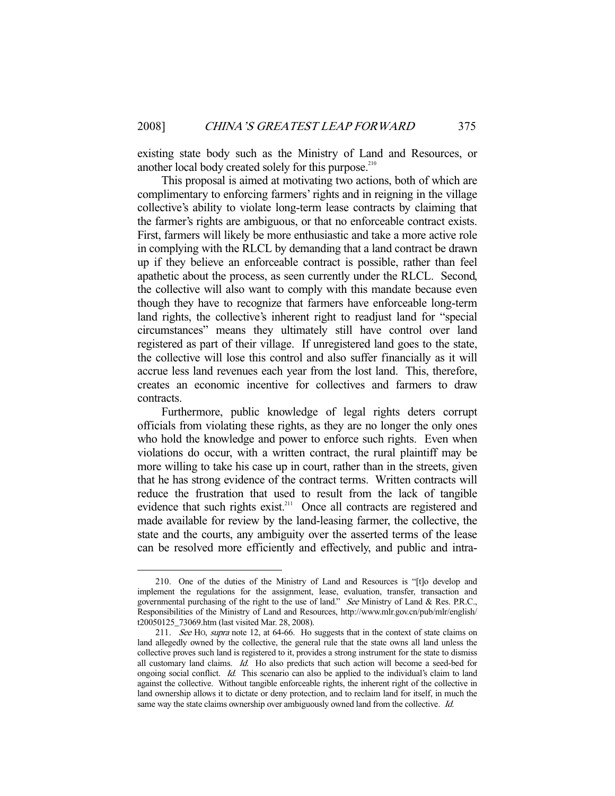existing state body such as the Ministry of Land and Resources, or another local body created solely for this purpose. $210$ 

 This proposal is aimed at motivating two actions, both of which are complimentary to enforcing farmers' rights and in reigning in the village collective's ability to violate long-term lease contracts by claiming that the farmer's rights are ambiguous, or that no enforceable contract exists. First, farmers will likely be more enthusiastic and take a more active role in complying with the RLCL by demanding that a land contract be drawn up if they believe an enforceable contract is possible, rather than feel apathetic about the process, as seen currently under the RLCL. Second, the collective will also want to comply with this mandate because even though they have to recognize that farmers have enforceable long-term land rights, the collective's inherent right to readjust land for "special circumstances" means they ultimately still have control over land registered as part of their village. If unregistered land goes to the state, the collective will lose this control and also suffer financially as it will accrue less land revenues each year from the lost land. This, therefore, creates an economic incentive for collectives and farmers to draw contracts.

 Furthermore, public knowledge of legal rights deters corrupt officials from violating these rights, as they are no longer the only ones who hold the knowledge and power to enforce such rights. Even when violations do occur, with a written contract, the rural plaintiff may be more willing to take his case up in court, rather than in the streets, given that he has strong evidence of the contract terms. Written contracts will reduce the frustration that used to result from the lack of tangible evidence that such rights exist.<sup>211</sup> Once all contracts are registered and made available for review by the land-leasing farmer, the collective, the state and the courts, any ambiguity over the asserted terms of the lease can be resolved more efficiently and effectively, and public and intra-

 <sup>210.</sup> One of the duties of the Ministry of Land and Resources is "[t]o develop and implement the regulations for the assignment, lease, evaluation, transfer, transaction and governmental purchasing of the right to the use of land." See Ministry of Land & Res. P.R.C., Responsibilities of the Ministry of Land and Resources, http://www.mlr.gov.cn/pub/mlr/english/ t20050125\_73069.htm (last visited Mar. 28, 2008).

<sup>211.</sup> See HO, supra note 12, at 64-66. Ho suggests that in the context of state claims on land allegedly owned by the collective, the general rule that the state owns all land unless the collective proves such land is registered to it, provides a strong instrument for the state to dismiss all customary land claims. Id. Ho also predicts that such action will become a seed-bed for ongoing social conflict. Id. This scenario can also be applied to the individual's claim to land against the collective. Without tangible enforceable rights, the inherent right of the collective in land ownership allows it to dictate or deny protection, and to reclaim land for itself, in much the same way the state claims ownership over ambiguously owned land from the collective. Id.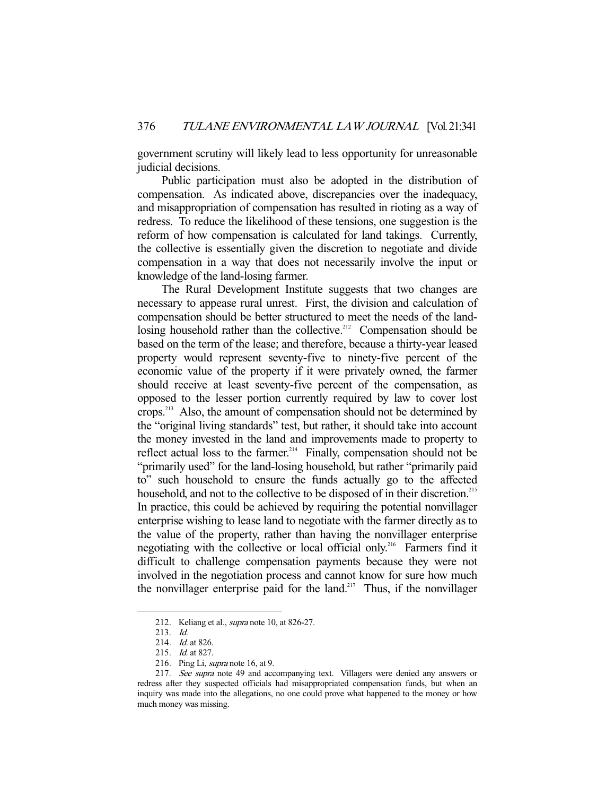government scrutiny will likely lead to less opportunity for unreasonable judicial decisions.

 Public participation must also be adopted in the distribution of compensation. As indicated above, discrepancies over the inadequacy, and misappropriation of compensation has resulted in rioting as a way of redress. To reduce the likelihood of these tensions, one suggestion is the reform of how compensation is calculated for land takings. Currently, the collective is essentially given the discretion to negotiate and divide compensation in a way that does not necessarily involve the input or knowledge of the land-losing farmer.

 The Rural Development Institute suggests that two changes are necessary to appease rural unrest. First, the division and calculation of compensation should be better structured to meet the needs of the landlosing household rather than the collective.<sup>212</sup> Compensation should be based on the term of the lease; and therefore, because a thirty-year leased property would represent seventy-five to ninety-five percent of the economic value of the property if it were privately owned, the farmer should receive at least seventy-five percent of the compensation, as opposed to the lesser portion currently required by law to cover lost crops.213 Also, the amount of compensation should not be determined by the "original living standards" test, but rather, it should take into account the money invested in the land and improvements made to property to reflect actual loss to the farmer.<sup>214</sup> Finally, compensation should not be "primarily used" for the land-losing household, but rather "primarily paid to" such household to ensure the funds actually go to the affected household, and not to the collective to be disposed of in their discretion.<sup>215</sup> In practice, this could be achieved by requiring the potential nonvillager enterprise wishing to lease land to negotiate with the farmer directly as to the value of the property, rather than having the nonvillager enterprise negotiating with the collective or local official only.216 Farmers find it difficult to challenge compensation payments because they were not involved in the negotiation process and cannot know for sure how much the nonvillager enterprise paid for the land.<sup>217</sup> Thus, if the nonvillager

 <sup>212.</sup> Keliang et al., supra note 10, at 826-27.

 <sup>213.</sup> Id.

 <sup>214.</sup> Id. at 826.

 <sup>215.</sup> Id. at 827.

<sup>216.</sup> Ping Li, *supra* note 16, at 9.

<sup>217.</sup> See supra note 49 and accompanying text. Villagers were denied any answers or redress after they suspected officials had misappropriated compensation funds, but when an inquiry was made into the allegations, no one could prove what happened to the money or how much money was missing.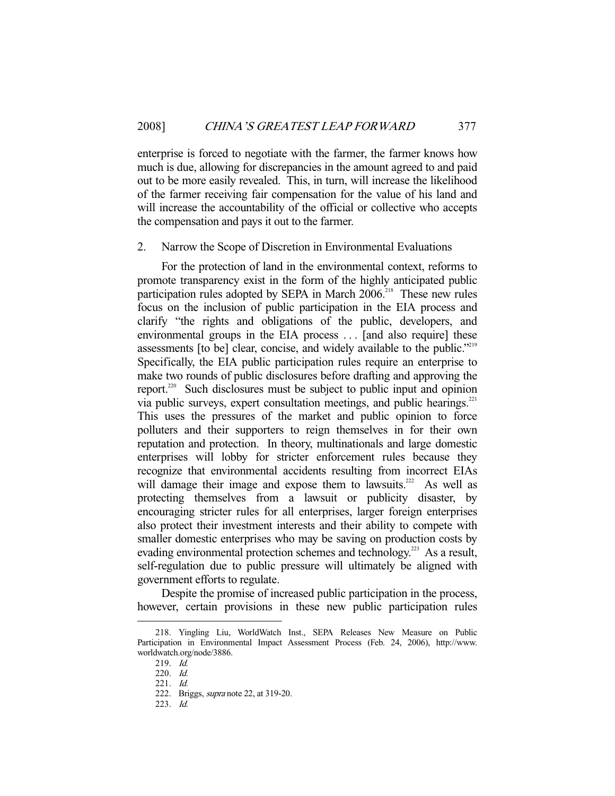enterprise is forced to negotiate with the farmer, the farmer knows how much is due, allowing for discrepancies in the amount agreed to and paid out to be more easily revealed. This, in turn, will increase the likelihood of the farmer receiving fair compensation for the value of his land and will increase the accountability of the official or collective who accepts the compensation and pays it out to the farmer.

#### 2. Narrow the Scope of Discretion in Environmental Evaluations

 For the protection of land in the environmental context, reforms to promote transparency exist in the form of the highly anticipated public participation rules adopted by SEPA in March 2006.<sup>218</sup> These new rules focus on the inclusion of public participation in the EIA process and clarify "the rights and obligations of the public, developers, and environmental groups in the EIA process . . . [and also require] these assessments [to be] clear, concise, and widely available to the public."<sup>219</sup> Specifically, the EIA public participation rules require an enterprise to make two rounds of public disclosures before drafting and approving the report.<sup>220</sup> Such disclosures must be subject to public input and opinion via public surveys, expert consultation meetings, and public hearings.<sup>221</sup> This uses the pressures of the market and public opinion to force polluters and their supporters to reign themselves in for their own reputation and protection. In theory, multinationals and large domestic enterprises will lobby for stricter enforcement rules because they recognize that environmental accidents resulting from incorrect EIAs will damage their image and expose them to lawsuits.<sup>222</sup> As well as protecting themselves from a lawsuit or publicity disaster, by encouraging stricter rules for all enterprises, larger foreign enterprises also protect their investment interests and their ability to compete with smaller domestic enterprises who may be saving on production costs by evading environmental protection schemes and technology.<sup>223</sup> As a result, self-regulation due to public pressure will ultimately be aligned with government efforts to regulate.

 Despite the promise of increased public participation in the process, however, certain provisions in these new public participation rules

 <sup>218.</sup> Yingling Liu, WorldWatch Inst., SEPA Releases New Measure on Public Participation in Environmental Impact Assessment Process (Feb. 24, 2006), http://www. worldwatch.org/node/3886.

 <sup>219.</sup> Id.

 <sup>220.</sup> Id.

 <sup>221.</sup> Id.

 <sup>222.</sup> Briggs, supra note 22, at 319-20.

 <sup>223.</sup> Id.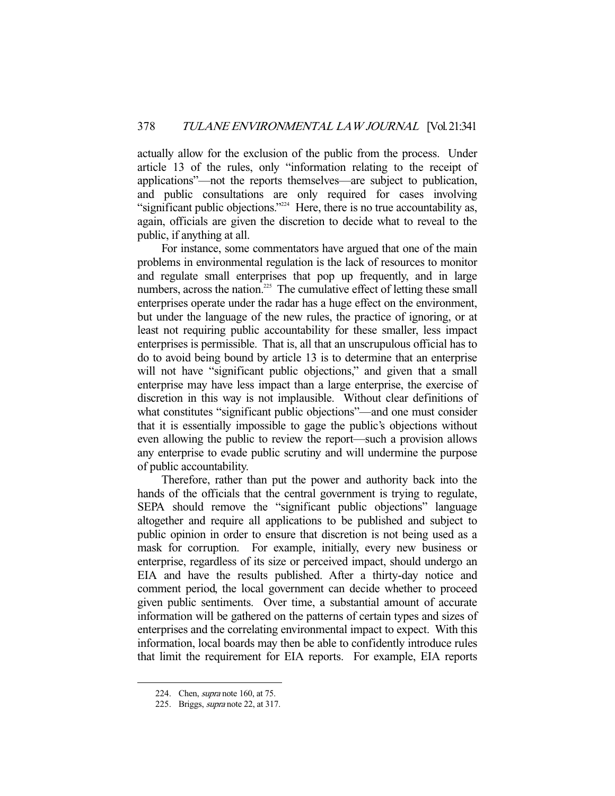actually allow for the exclusion of the public from the process. Under article 13 of the rules, only "information relating to the receipt of applications"—not the reports themselves—are subject to publication, and public consultations are only required for cases involving "significant public objections."<sup>224</sup> Here, there is no true accountability as, again, officials are given the discretion to decide what to reveal to the public, if anything at all.

 For instance, some commentators have argued that one of the main problems in environmental regulation is the lack of resources to monitor and regulate small enterprises that pop up frequently, and in large numbers, across the nation.<sup>225</sup> The cumulative effect of letting these small enterprises operate under the radar has a huge effect on the environment, but under the language of the new rules, the practice of ignoring, or at least not requiring public accountability for these smaller, less impact enterprises is permissible. That is, all that an unscrupulous official has to do to avoid being bound by article 13 is to determine that an enterprise will not have "significant public objections," and given that a small enterprise may have less impact than a large enterprise, the exercise of discretion in this way is not implausible. Without clear definitions of what constitutes "significant public objections"—and one must consider that it is essentially impossible to gage the public's objections without even allowing the public to review the report—such a provision allows any enterprise to evade public scrutiny and will undermine the purpose of public accountability.

 Therefore, rather than put the power and authority back into the hands of the officials that the central government is trying to regulate, SEPA should remove the "significant public objections" language altogether and require all applications to be published and subject to public opinion in order to ensure that discretion is not being used as a mask for corruption. For example, initially, every new business or enterprise, regardless of its size or perceived impact, should undergo an EIA and have the results published. After a thirty-day notice and comment period, the local government can decide whether to proceed given public sentiments. Over time, a substantial amount of accurate information will be gathered on the patterns of certain types and sizes of enterprises and the correlating environmental impact to expect. With this information, local boards may then be able to confidently introduce rules that limit the requirement for EIA reports. For example, EIA reports

 <sup>224.</sup> Chen, supra note 160, at 75.

 <sup>225.</sup> Briggs, supra note 22, at 317.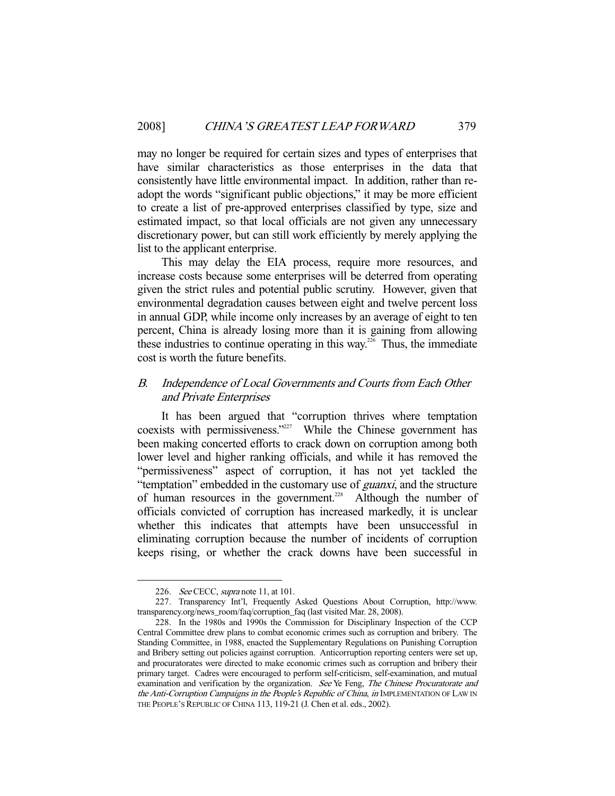may no longer be required for certain sizes and types of enterprises that have similar characteristics as those enterprises in the data that consistently have little environmental impact. In addition, rather than readopt the words "significant public objections," it may be more efficient to create a list of pre-approved enterprises classified by type, size and estimated impact, so that local officials are not given any unnecessary discretionary power, but can still work efficiently by merely applying the list to the applicant enterprise.

 This may delay the EIA process, require more resources, and increase costs because some enterprises will be deterred from operating given the strict rules and potential public scrutiny. However, given that environmental degradation causes between eight and twelve percent loss in annual GDP, while income only increases by an average of eight to ten percent, China is already losing more than it is gaining from allowing these industries to continue operating in this way.<sup>226</sup> Thus, the immediate cost is worth the future benefits.

# B. Independence of Local Governments and Courts from Each Other and Private Enterprises

 It has been argued that "corruption thrives where temptation coexists with permissiveness."<sup>227</sup> While the Chinese government has been making concerted efforts to crack down on corruption among both lower level and higher ranking officials, and while it has removed the "permissiveness" aspect of corruption, it has not yet tackled the "temptation" embedded in the customary use of *guanxi*, and the structure of human resources in the government.<sup>228</sup> Although the number of officials convicted of corruption has increased markedly, it is unclear whether this indicates that attempts have been unsuccessful in eliminating corruption because the number of incidents of corruption keeps rising, or whether the crack downs have been successful in

<sup>226.</sup> See CECC, supra note 11, at 101.

 <sup>227.</sup> Transparency Int'l, Frequently Asked Questions About Corruption, http://www. transparency.org/news\_room/faq/corruption\_faq (last visited Mar. 28, 2008).

 <sup>228.</sup> In the 1980s and 1990s the Commission for Disciplinary Inspection of the CCP Central Committee drew plans to combat economic crimes such as corruption and bribery. The Standing Committee, in 1988, enacted the Supplementary Regulations on Punishing Corruption and Bribery setting out policies against corruption. Anticorruption reporting centers were set up, and procuratorates were directed to make economic crimes such as corruption and bribery their primary target. Cadres were encouraged to perform self-criticism, self-examination, and mutual examination and verification by the organization. See Ye Feng, The Chinese Procuratorate and the Anti-Corruption Campaigns in the People's Republic of China, in IMPLEMENTATION OF LAW IN THE PEOPLE'S REPUBLIC OF CHINA 113, 119-21 (J. Chen et al. eds., 2002).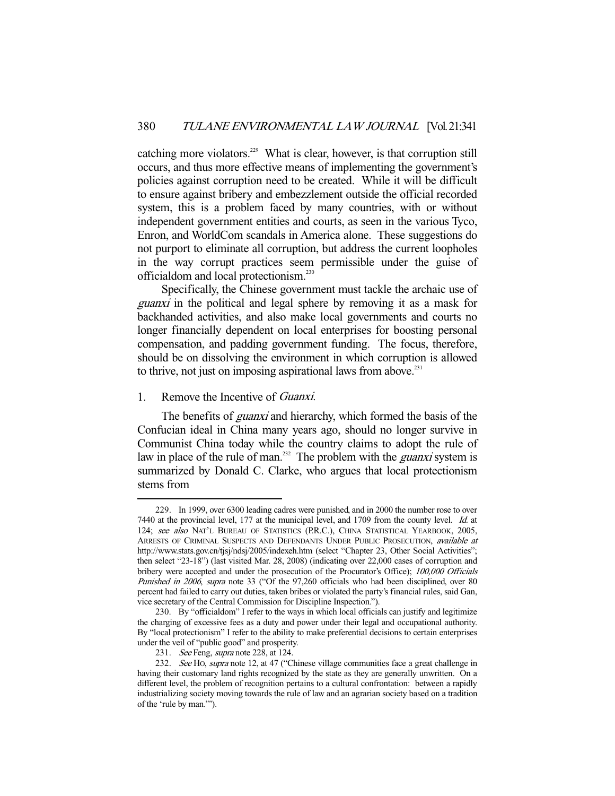catching more violators.<sup>229</sup> What is clear, however, is that corruption still occurs, and thus more effective means of implementing the government's policies against corruption need to be created. While it will be difficult to ensure against bribery and embezzlement outside the official recorded system, this is a problem faced by many countries, with or without independent government entities and courts, as seen in the various Tyco, Enron, and WorldCom scandals in America alone. These suggestions do not purport to eliminate all corruption, but address the current loopholes in the way corrupt practices seem permissible under the guise of officialdom and local protectionism.230

 Specifically, the Chinese government must tackle the archaic use of guanxi in the political and legal sphere by removing it as a mask for backhanded activities, and also make local governments and courts no longer financially dependent on local enterprises for boosting personal compensation, and padding government funding. The focus, therefore, should be on dissolving the environment in which corruption is allowed to thrive, not just on imposing aspirational laws from above. $^{231}$ 

## 1. Remove the Incentive of Guanxi.

-

The benefits of *guanxi* and hierarchy, which formed the basis of the Confucian ideal in China many years ago, should no longer survive in Communist China today while the country claims to adopt the rule of law in place of the rule of man.<sup>232</sup> The problem with the *guanxi* system is summarized by Donald C. Clarke, who argues that local protectionism stems from

 <sup>229.</sup> In 1999, over 6300 leading cadres were punished, and in 2000 the number rose to over 7440 at the provincial level, 177 at the municipal level, and 1709 from the county level. Id. at 124; see also NAT'L BUREAU OF STATISTICS (P.R.C.), CHINA STATISTICAL YEARBOOK, 2005, ARRESTS OF CRIMINAL SUSPECTS AND DEFENDANTS UNDER PUBLIC PROSECUTION, available at http://www.stats.gov.cn/tjsj/ndsj/2005/indexeh.htm (select "Chapter 23, Other Social Activities"; then select "23-18") (last visited Mar. 28, 2008) (indicating over 22,000 cases of corruption and bribery were accepted and under the prosecution of the Procurator's Office); 100,000 Officials Punished in 2006, supra note 33 ("Of the 97,260 officials who had been disciplined, over 80 percent had failed to carry out duties, taken bribes or violated the party's financial rules, said Gan, vice secretary of the Central Commission for Discipline Inspection.").

 <sup>230.</sup> By "officialdom" I refer to the ways in which local officials can justify and legitimize the charging of excessive fees as a duty and power under their legal and occupational authority. By "local protectionism" I refer to the ability to make preferential decisions to certain enterprises under the veil of "public good" and prosperity.

<sup>231.</sup> See Feng, supra note 228, at 124.

<sup>232.</sup> See HO, supra note 12, at 47 ("Chinese village communities face a great challenge in having their customary land rights recognized by the state as they are generally unwritten. On a different level, the problem of recognition pertains to a cultural confrontation: between a rapidly industrializing society moving towards the rule of law and an agrarian society based on a tradition of the 'rule by man.'").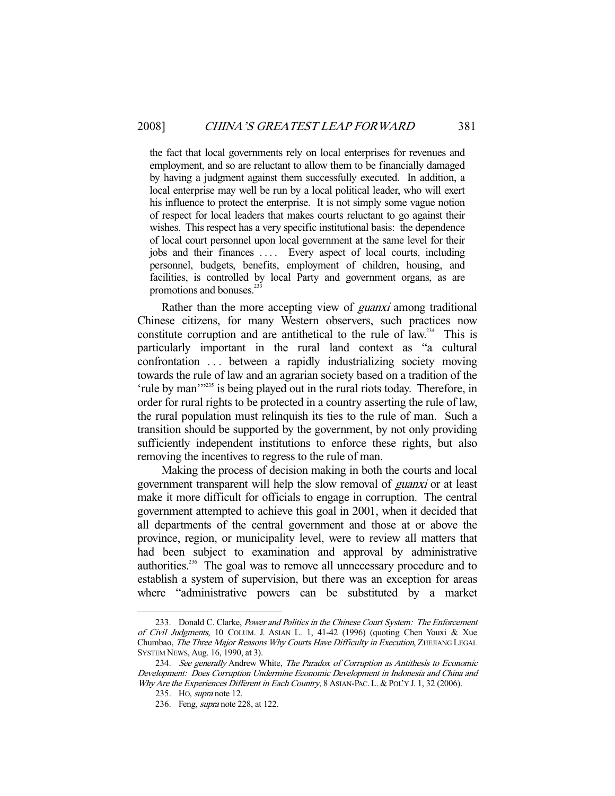the fact that local governments rely on local enterprises for revenues and employment, and so are reluctant to allow them to be financially damaged by having a judgment against them successfully executed. In addition, a local enterprise may well be run by a local political leader, who will exert his influence to protect the enterprise. It is not simply some vague notion of respect for local leaders that makes courts reluctant to go against their wishes. This respect has a very specific institutional basis: the dependence of local court personnel upon local government at the same level for their jobs and their finances . . . . Every aspect of local courts, including personnel, budgets, benefits, employment of children, housing, and facilities, is controlled by local Party and government organs, as are promotions and bonuses. $^{233}$ 

Rather than the more accepting view of *guanxi* among traditional Chinese citizens, for many Western observers, such practices now constitute corruption and are antithetical to the rule of law.<sup>234</sup> This is particularly important in the rural land context as "a cultural confrontation . . . between a rapidly industrializing society moving towards the rule of law and an agrarian society based on a tradition of the 'rule by man'"<sup>235</sup> is being played out in the rural riots today. Therefore, in order for rural rights to be protected in a country asserting the rule of law, the rural population must relinquish its ties to the rule of man. Such a transition should be supported by the government, by not only providing sufficiently independent institutions to enforce these rights, but also removing the incentives to regress to the rule of man.

 Making the process of decision making in both the courts and local government transparent will help the slow removal of guanxi or at least make it more difficult for officials to engage in corruption. The central government attempted to achieve this goal in 2001, when it decided that all departments of the central government and those at or above the province, region, or municipality level, were to review all matters that had been subject to examination and approval by administrative authorities.236 The goal was to remove all unnecessary procedure and to establish a system of supervision, but there was an exception for areas where "administrative powers can be substituted by a market

<sup>233.</sup> Donald C. Clarke, Power and Politics in the Chinese Court System: The Enforcement of Civil Judgments, 10 COLUM. J. ASIAN L. 1, 41-42 (1996) (quoting Chen Youxi & Xue Chumbao, The Three Major Reasons Why Courts Have Difficulty in Execution, ZHEJIANG LEGAL SYSTEM NEWS, Aug. 16, 1990, at 3).

<sup>234.</sup> See generally Andrew White, The Paradox of Corruption as Antithesis to Economic Development: Does Corruption Undermine Economic Development in Indonesia and China and Why Are the Experiences Different in Each Country, 8 ASIAN-PAC. L. & POL'Y J. 1, 32 (2006).

 <sup>235.</sup> HO, supra note 12.

 <sup>236.</sup> Feng, supra note 228, at 122.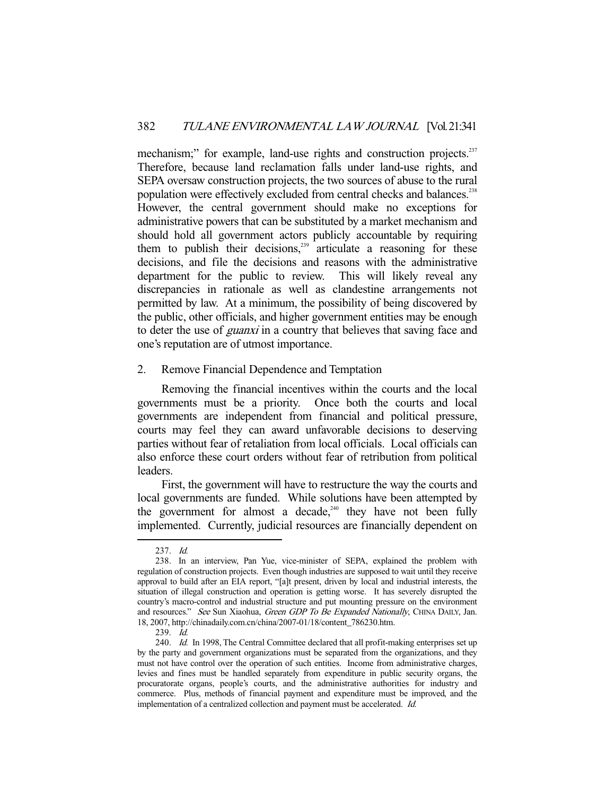mechanism;" for example, land-use rights and construction projects.<sup>237</sup> Therefore, because land reclamation falls under land-use rights, and SEPA oversaw construction projects, the two sources of abuse to the rural population were effectively excluded from central checks and balances.<sup>238</sup> However, the central government should make no exceptions for administrative powers that can be substituted by a market mechanism and should hold all government actors publicly accountable by requiring them to publish their decisions,<sup>239</sup> articulate a reasoning for these decisions, and file the decisions and reasons with the administrative department for the public to review. This will likely reveal any discrepancies in rationale as well as clandestine arrangements not permitted by law. At a minimum, the possibility of being discovered by the public, other officials, and higher government entities may be enough to deter the use of *guanxi* in a country that believes that saving face and one's reputation are of utmost importance.

## 2. Remove Financial Dependence and Temptation

 Removing the financial incentives within the courts and the local governments must be a priority. Once both the courts and local governments are independent from financial and political pressure, courts may feel they can award unfavorable decisions to deserving parties without fear of retaliation from local officials. Local officials can also enforce these court orders without fear of retribution from political leaders.

 First, the government will have to restructure the way the courts and local governments are funded. While solutions have been attempted by the government for almost a decade,<sup>240</sup> they have not been fully implemented. Currently, judicial resources are financially dependent on

 <sup>237.</sup> Id.

 <sup>238.</sup> In an interview, Pan Yue, vice-minister of SEPA, explained the problem with regulation of construction projects. Even though industries are supposed to wait until they receive approval to build after an EIA report, "[a]t present, driven by local and industrial interests, the situation of illegal construction and operation is getting worse. It has severely disrupted the country's macro-control and industrial structure and put mounting pressure on the environment and resources." See Sun Xiaohua, Green GDP To Be Expanded Nationally, CHINA DAILY, Jan. 18, 2007, http://chinadaily.com.cn/china/2007-01/18/content\_786230.htm.

 <sup>239.</sup> Id.

<sup>240.</sup> Id. In 1998, The Central Committee declared that all profit-making enterprises set up by the party and government organizations must be separated from the organizations, and they must not have control over the operation of such entities. Income from administrative charges, levies and fines must be handled separately from expenditure in public security organs, the procuratorate organs, people's courts, and the administrative authorities for industry and commerce. Plus, methods of financial payment and expenditure must be improved, and the implementation of a centralized collection and payment must be accelerated. Id.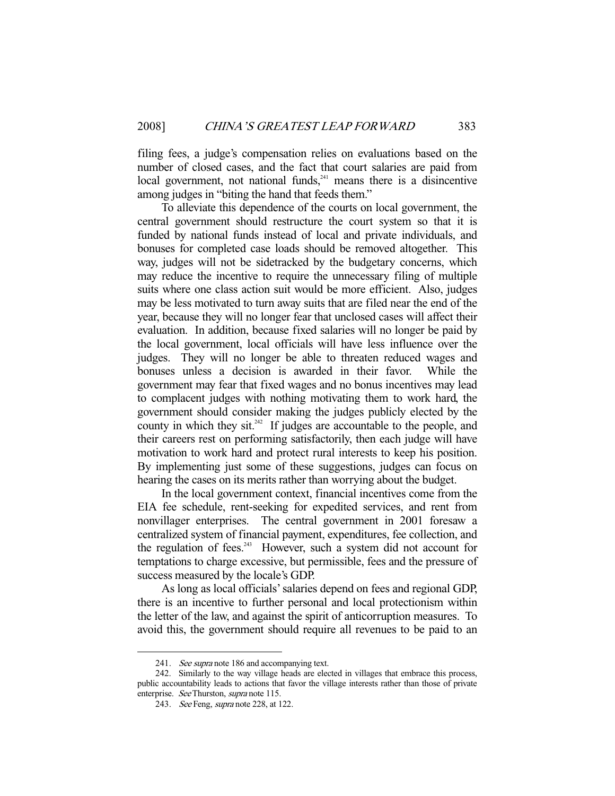filing fees, a judge's compensation relies on evaluations based on the number of closed cases, and the fact that court salaries are paid from local government, not national funds, $241$  means there is a disincentive among judges in "biting the hand that feeds them."

 To alleviate this dependence of the courts on local government, the central government should restructure the court system so that it is funded by national funds instead of local and private individuals, and bonuses for completed case loads should be removed altogether. This way, judges will not be sidetracked by the budgetary concerns, which may reduce the incentive to require the unnecessary filing of multiple suits where one class action suit would be more efficient. Also, judges may be less motivated to turn away suits that are filed near the end of the year, because they will no longer fear that unclosed cases will affect their evaluation. In addition, because fixed salaries will no longer be paid by the local government, local officials will have less influence over the judges. They will no longer be able to threaten reduced wages and bonuses unless a decision is awarded in their favor. While the government may fear that fixed wages and no bonus incentives may lead to complacent judges with nothing motivating them to work hard, the government should consider making the judges publicly elected by the county in which they sit.<sup>242</sup> If judges are accountable to the people, and their careers rest on performing satisfactorily, then each judge will have motivation to work hard and protect rural interests to keep his position. By implementing just some of these suggestions, judges can focus on hearing the cases on its merits rather than worrying about the budget.

 In the local government context, financial incentives come from the EIA fee schedule, rent-seeking for expedited services, and rent from nonvillager enterprises. The central government in 2001 foresaw a centralized system of financial payment, expenditures, fee collection, and the regulation of fees. $243$  However, such a system did not account for temptations to charge excessive, but permissible, fees and the pressure of success measured by the locale's GDP.

 As long as local officials' salaries depend on fees and regional GDP, there is an incentive to further personal and local protectionism within the letter of the law, and against the spirit of anticorruption measures. To avoid this, the government should require all revenues to be paid to an

<sup>241.</sup> See supra note 186 and accompanying text.

 <sup>242.</sup> Similarly to the way village heads are elected in villages that embrace this process, public accountability leads to actions that favor the village interests rather than those of private enterprise. See Thurston, *supra* note 115.

<sup>243.</sup> See Feng, *supra* note 228, at 122.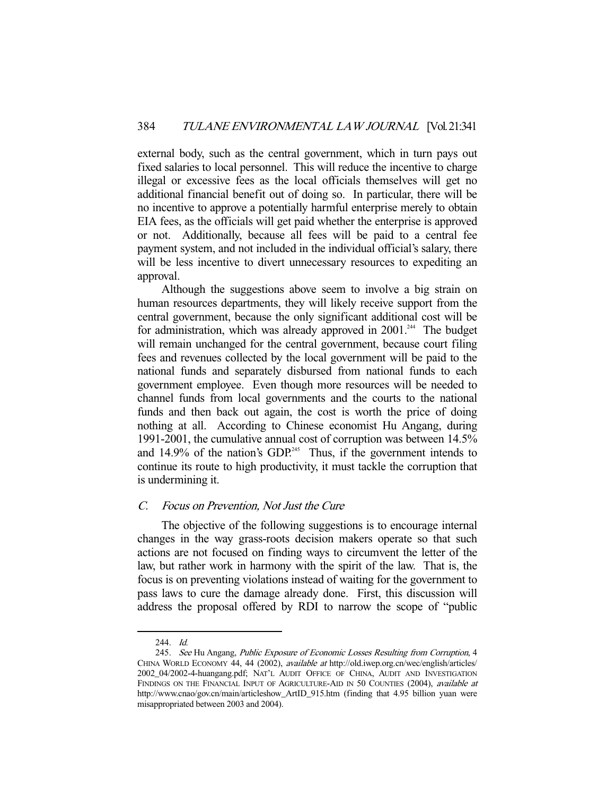external body, such as the central government, which in turn pays out fixed salaries to local personnel. This will reduce the incentive to charge illegal or excessive fees as the local officials themselves will get no additional financial benefit out of doing so. In particular, there will be no incentive to approve a potentially harmful enterprise merely to obtain EIA fees, as the officials will get paid whether the enterprise is approved or not. Additionally, because all fees will be paid to a central fee payment system, and not included in the individual official's salary, there will be less incentive to divert unnecessary resources to expediting an approval.

 Although the suggestions above seem to involve a big strain on human resources departments, they will likely receive support from the central government, because the only significant additional cost will be for administration, which was already approved in  $2001$ .<sup>244</sup> The budget will remain unchanged for the central government, because court filing fees and revenues collected by the local government will be paid to the national funds and separately disbursed from national funds to each government employee. Even though more resources will be needed to channel funds from local governments and the courts to the national funds and then back out again, the cost is worth the price of doing nothing at all. According to Chinese economist Hu Angang, during 1991-2001, the cumulative annual cost of corruption was between 14.5% and  $14.9\%$  of the nation's GDP.<sup>245</sup> Thus, if the government intends to continue its route to high productivity, it must tackle the corruption that is undermining it.

## C. Focus on Prevention, Not Just the Cure

 The objective of the following suggestions is to encourage internal changes in the way grass-roots decision makers operate so that such actions are not focused on finding ways to circumvent the letter of the law, but rather work in harmony with the spirit of the law. That is, the focus is on preventing violations instead of waiting for the government to pass laws to cure the damage already done. First, this discussion will address the proposal offered by RDI to narrow the scope of "public

 <sup>244.</sup> Id.

 <sup>245.</sup> See Hu Angang, Public Exposure of Economic Losses Resulting from Corruption, 4 CHINA WORLD ECONOMY 44, 44 (2002), available at http://old.iwep.org.cn/wec/english/articles/ 2002\_04/2002-4-huangang.pdf; NAT'L AUDIT OFFICE OF CHINA, AUDIT AND INVESTIGATION FINDINGS ON THE FINANCIAL INPUT OF AGRICULTURE-AID IN 50 COUNTIES (2004), available at http://www.cnao/gov.cn/main/articleshow\_ArtID\_915.htm (finding that 4.95 billion yuan were misappropriated between 2003 and 2004).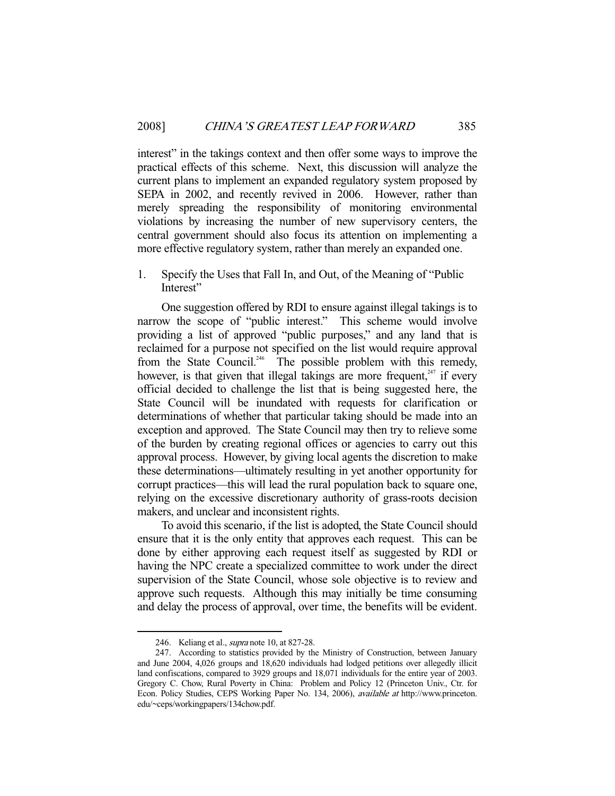interest" in the takings context and then offer some ways to improve the practical effects of this scheme. Next, this discussion will analyze the current plans to implement an expanded regulatory system proposed by SEPA in 2002, and recently revived in 2006. However, rather than merely spreading the responsibility of monitoring environmental violations by increasing the number of new supervisory centers, the central government should also focus its attention on implementing a more effective regulatory system, rather than merely an expanded one.

1. Specify the Uses that Fall In, and Out, of the Meaning of "Public Interest"

 One suggestion offered by RDI to ensure against illegal takings is to narrow the scope of "public interest." This scheme would involve providing a list of approved "public purposes," and any land that is reclaimed for a purpose not specified on the list would require approval from the State Council.<sup>246</sup> The possible problem with this remedy, however, is that given that illegal takings are more frequent,  $247$  if every official decided to challenge the list that is being suggested here, the State Council will be inundated with requests for clarification or determinations of whether that particular taking should be made into an exception and approved. The State Council may then try to relieve some of the burden by creating regional offices or agencies to carry out this approval process. However, by giving local agents the discretion to make these determinations—ultimately resulting in yet another opportunity for corrupt practices—this will lead the rural population back to square one, relying on the excessive discretionary authority of grass-roots decision makers, and unclear and inconsistent rights.

 To avoid this scenario, if the list is adopted, the State Council should ensure that it is the only entity that approves each request. This can be done by either approving each request itself as suggested by RDI or having the NPC create a specialized committee to work under the direct supervision of the State Council, whose sole objective is to review and approve such requests. Although this may initially be time consuming and delay the process of approval, over time, the benefits will be evident.

<sup>246.</sup> Keliang et al., *supra* note 10, at 827-28.

 <sup>247.</sup> According to statistics provided by the Ministry of Construction, between January and June 2004, 4,026 groups and 18,620 individuals had lodged petitions over allegedly illicit land confiscations, compared to 3929 groups and 18,071 individuals for the entire year of 2003. Gregory C. Chow, Rural Poverty in China: Problem and Policy 12 (Princeton Univ., Ctr. for Econ. Policy Studies, CEPS Working Paper No. 134, 2006), available at http://www.princeton. edu/~ceps/workingpapers/134chow.pdf.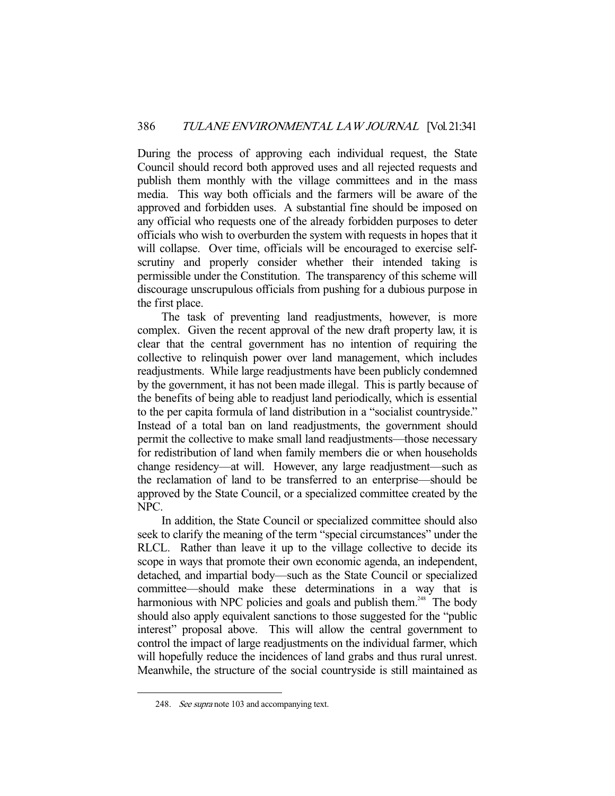During the process of approving each individual request, the State Council should record both approved uses and all rejected requests and publish them monthly with the village committees and in the mass media. This way both officials and the farmers will be aware of the approved and forbidden uses. A substantial fine should be imposed on any official who requests one of the already forbidden purposes to deter officials who wish to overburden the system with requests in hopes that it will collapse. Over time, officials will be encouraged to exercise selfscrutiny and properly consider whether their intended taking is permissible under the Constitution. The transparency of this scheme will discourage unscrupulous officials from pushing for a dubious purpose in the first place.

 The task of preventing land readjustments, however, is more complex. Given the recent approval of the new draft property law, it is clear that the central government has no intention of requiring the collective to relinquish power over land management, which includes readjustments. While large readjustments have been publicly condemned by the government, it has not been made illegal. This is partly because of the benefits of being able to readjust land periodically, which is essential to the per capita formula of land distribution in a "socialist countryside." Instead of a total ban on land readjustments, the government should permit the collective to make small land readjustments—those necessary for redistribution of land when family members die or when households change residency—at will. However, any large readjustment—such as the reclamation of land to be transferred to an enterprise—should be approved by the State Council, or a specialized committee created by the NPC.

 In addition, the State Council or specialized committee should also seek to clarify the meaning of the term "special circumstances" under the RLCL. Rather than leave it up to the village collective to decide its scope in ways that promote their own economic agenda, an independent, detached, and impartial body—such as the State Council or specialized committee—should make these determinations in a way that is harmonious with NPC policies and goals and publish them.<sup>248</sup> The body should also apply equivalent sanctions to those suggested for the "public interest" proposal above. This will allow the central government to control the impact of large readjustments on the individual farmer, which will hopefully reduce the incidences of land grabs and thus rural unrest. Meanwhile, the structure of the social countryside is still maintained as

 <sup>248.</sup> See supra note 103 and accompanying text.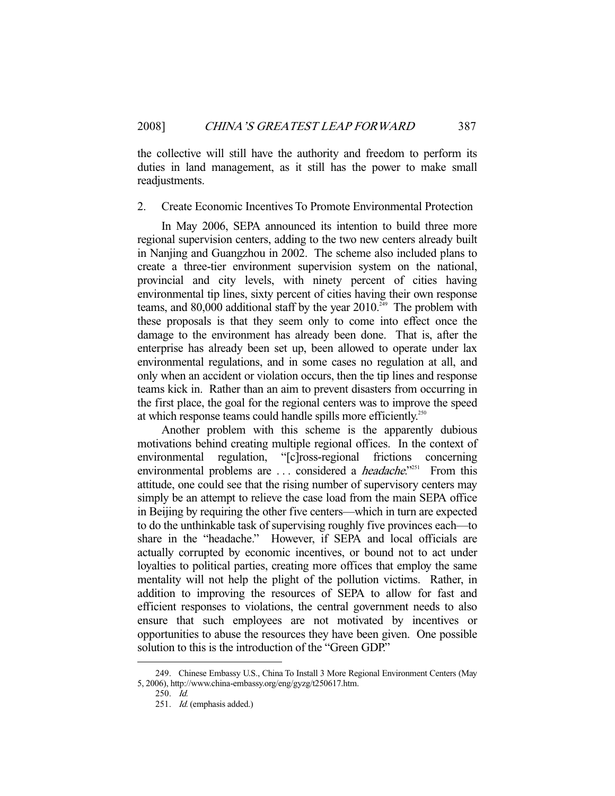the collective will still have the authority and freedom to perform its duties in land management, as it still has the power to make small readjustments.

#### 2. Create Economic Incentives To Promote Environmental Protection

 In May 2006, SEPA announced its intention to build three more regional supervision centers, adding to the two new centers already built in Nanjing and Guangzhou in 2002. The scheme also included plans to create a three-tier environment supervision system on the national, provincial and city levels, with ninety percent of cities having environmental tip lines, sixty percent of cities having their own response teams, and 80,000 additional staff by the year  $2010^{249}$  The problem with these proposals is that they seem only to come into effect once the damage to the environment has already been done. That is, after the enterprise has already been set up, been allowed to operate under lax environmental regulations, and in some cases no regulation at all, and only when an accident or violation occurs, then the tip lines and response teams kick in. Rather than an aim to prevent disasters from occurring in the first place, the goal for the regional centers was to improve the speed at which response teams could handle spills more efficiently.<sup>250</sup>

 Another problem with this scheme is the apparently dubious motivations behind creating multiple regional offices. In the context of environmental regulation, "[c]ross-regional frictions concerning environmental problems are ... considered a *headache*."<sup>251</sup> From this attitude, one could see that the rising number of supervisory centers may simply be an attempt to relieve the case load from the main SEPA office in Beijing by requiring the other five centers—which in turn are expected to do the unthinkable task of supervising roughly five provinces each—to share in the "headache." However, if SEPA and local officials are actually corrupted by economic incentives, or bound not to act under loyalties to political parties, creating more offices that employ the same mentality will not help the plight of the pollution victims. Rather, in addition to improving the resources of SEPA to allow for fast and efficient responses to violations, the central government needs to also ensure that such employees are not motivated by incentives or opportunities to abuse the resources they have been given. One possible solution to this is the introduction of the "Green GDP."

 <sup>249.</sup> Chinese Embassy U.S., China To Install 3 More Regional Environment Centers (May 5, 2006), http://www.china-embassy.org/eng/gyzg/t250617.htm.

 <sup>250.</sup> Id.

<sup>251.</sup> *Id.* (emphasis added.)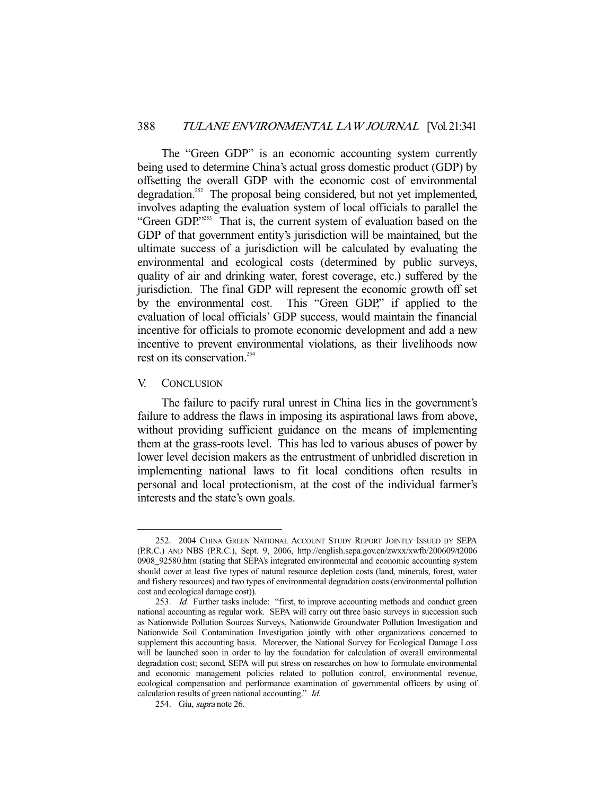The "Green GDP" is an economic accounting system currently being used to determine China's actual gross domestic product (GDP) by offsetting the overall GDP with the economic cost of environmental degradation.<sup>252</sup> The proposal being considered, but not yet implemented, involves adapting the evaluation system of local officials to parallel the "Green GDP."<sup>253</sup> That is, the current system of evaluation based on the GDP of that government entity's jurisdiction will be maintained, but the ultimate success of a jurisdiction will be calculated by evaluating the environmental and ecological costs (determined by public surveys, quality of air and drinking water, forest coverage, etc.) suffered by the jurisdiction. The final GDP will represent the economic growth off set by the environmental cost. This "Green GDP," if applied to the evaluation of local officials' GDP success, would maintain the financial incentive for officials to promote economic development and add a new incentive to prevent environmental violations, as their livelihoods now rest on its conservation.<sup>254</sup>

## V. CONCLUSION

-

 The failure to pacify rural unrest in China lies in the government's failure to address the flaws in imposing its aspirational laws from above, without providing sufficient guidance on the means of implementing them at the grass-roots level. This has led to various abuses of power by lower level decision makers as the entrustment of unbridled discretion in implementing national laws to fit local conditions often results in personal and local protectionism, at the cost of the individual farmer's interests and the state's own goals.

 <sup>252. 2004</sup> CHINA GREEN NATIONAL ACCOUNT STUDY REPORT JOINTLY ISSUED BY SEPA (P.R.C.) AND NBS (P.R.C.), Sept. 9, 2006, http://english.sepa.gov.cn/zwxx/xwfb/200609/t2006 0908\_92580.htm (stating that SEPA's integrated environmental and economic accounting system should cover at least five types of natural resource depletion costs (land, minerals, forest, water and fishery resources) and two types of environmental degradation costs (environmental pollution cost and ecological damage cost)).

<sup>253.</sup> Id. Further tasks include: "first, to improve accounting methods and conduct green national accounting as regular work. SEPA will carry out three basic surveys in succession such as Nationwide Pollution Sources Surveys, Nationwide Groundwater Pollution Investigation and Nationwide Soil Contamination Investigation jointly with other organizations concerned to supplement this accounting basis. Moreover, the National Survey for Ecological Damage Loss will be launched soon in order to lay the foundation for calculation of overall environmental degradation cost; second, SEPA will put stress on researches on how to formulate environmental and economic management policies related to pollution control, environmental revenue, ecological compensation and performance examination of governmental officers by using of calculation results of green national accounting." Id.

 <sup>254.</sup> Giu, supra note 26.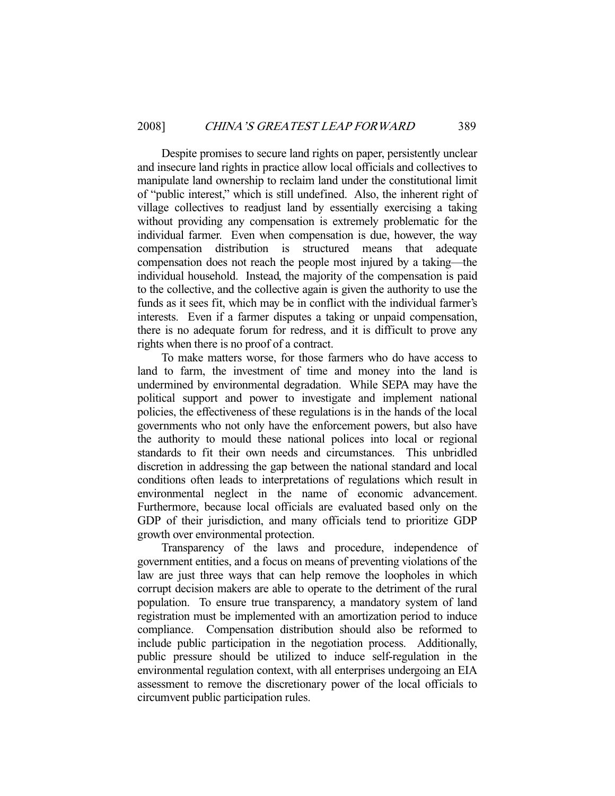Despite promises to secure land rights on paper, persistently unclear and insecure land rights in practice allow local officials and collectives to manipulate land ownership to reclaim land under the constitutional limit of "public interest," which is still undefined. Also, the inherent right of village collectives to readjust land by essentially exercising a taking without providing any compensation is extremely problematic for the individual farmer. Even when compensation is due, however, the way compensation distribution is structured means that adequate compensation does not reach the people most injured by a taking—the individual household. Instead, the majority of the compensation is paid to the collective, and the collective again is given the authority to use the funds as it sees fit, which may be in conflict with the individual farmer's interests. Even if a farmer disputes a taking or unpaid compensation, there is no adequate forum for redress, and it is difficult to prove any rights when there is no proof of a contract.

 To make matters worse, for those farmers who do have access to land to farm, the investment of time and money into the land is undermined by environmental degradation. While SEPA may have the political support and power to investigate and implement national policies, the effectiveness of these regulations is in the hands of the local governments who not only have the enforcement powers, but also have the authority to mould these national polices into local or regional standards to fit their own needs and circumstances. This unbridled discretion in addressing the gap between the national standard and local conditions often leads to interpretations of regulations which result in environmental neglect in the name of economic advancement. Furthermore, because local officials are evaluated based only on the GDP of their jurisdiction, and many officials tend to prioritize GDP growth over environmental protection.

 Transparency of the laws and procedure, independence of government entities, and a focus on means of preventing violations of the law are just three ways that can help remove the loopholes in which corrupt decision makers are able to operate to the detriment of the rural population. To ensure true transparency, a mandatory system of land registration must be implemented with an amortization period to induce compliance. Compensation distribution should also be reformed to include public participation in the negotiation process. Additionally, public pressure should be utilized to induce self-regulation in the environmental regulation context, with all enterprises undergoing an EIA assessment to remove the discretionary power of the local officials to circumvent public participation rules.